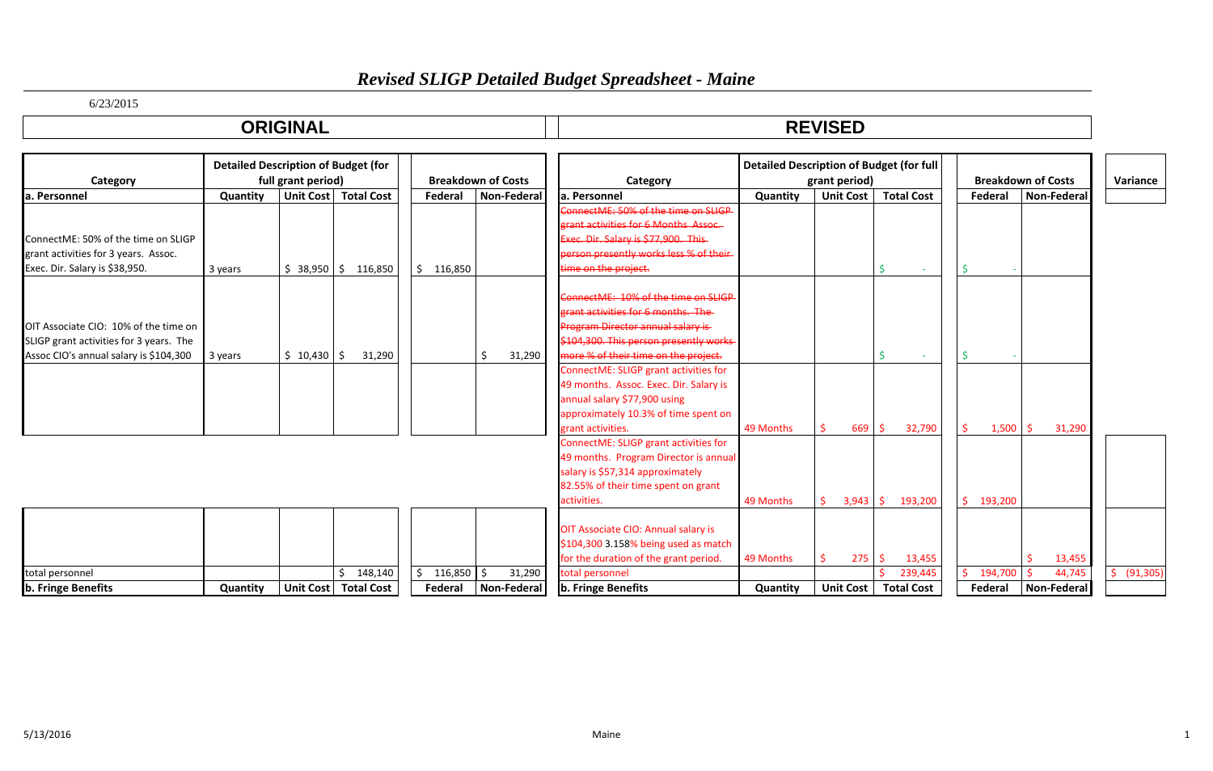# *Revised SLIGP Detailed Budget Spreadsheet - Maine*

6/23/2015

| <b>ODICINAL</b> | <b>DEVICED</b><br><u>IEVIJED</u> |
|-----------------|----------------------------------|
|                 |                                  |

|                                         | <b>Detailed Description of Budget (for</b> |                    |                   |               |                           |                                                                           | <b>Detailed Description of Budget (for full</b> |                  |                   |               |                           |             |
|-----------------------------------------|--------------------------------------------|--------------------|-------------------|---------------|---------------------------|---------------------------------------------------------------------------|-------------------------------------------------|------------------|-------------------|---------------|---------------------------|-------------|
| Category                                |                                            | full grant period) |                   |               | <b>Breakdown of Costs</b> | Category                                                                  |                                                 | grant period)    |                   |               | <b>Breakdown of Costs</b> | Variance    |
| la. Personnel                           | Quantity                                   | Unit Cost          | <b>Total Cost</b> | Federal       | Non-Federal               | la. Personnel                                                             | Quantity                                        | <b>Unit Cost</b> | <b>Total Cost</b> | Federal       | <b>Non-Federal</b>        |             |
|                                         |                                            |                    |                   |               |                           | ConnectME: 50% of the time on SHGP                                        |                                                 |                  |                   |               |                           |             |
|                                         |                                            |                    |                   |               |                           | arant activities for 6 Months Assoc                                       |                                                 |                  |                   |               |                           |             |
| ConnectME: 50% of the time on SLIGP     |                                            |                    |                   |               |                           | Exec. Dir. Salary is \$77,900. This                                       |                                                 |                  |                   |               |                           |             |
| grant activities for 3 years. Assoc.    |                                            |                    |                   |               |                           | berson presently works less % of their                                    |                                                 |                  |                   |               |                           |             |
| Exec. Dir. Salary is \$38,950.          | 3 years                                    | $$38,950$ $$$      | 116,850           | \$<br>116,850 |                           | time on the project.                                                      |                                                 |                  | Ś                 |               |                           |             |
|                                         |                                            |                    |                   |               |                           | ConnectME: 10% of the time on SLIGP<br>erant activities for 6 months. The |                                                 |                  |                   |               |                           |             |
| OIT Associate CIO: 10% of the time on   |                                            |                    |                   |               |                           | Program Director annual salary is                                         |                                                 |                  |                   |               |                           |             |
| SLIGP grant activities for 3 years. The |                                            |                    |                   |               |                           | \$104,300. This person presently works                                    |                                                 |                  |                   |               |                           |             |
| Assoc CIO's annual salary is \$104,300  | 3 years                                    | \$10,430           | 31,290<br>l S     |               | 31,290                    | more % of their time on the project.                                      |                                                 |                  | ¢                 |               |                           |             |
|                                         |                                            |                    |                   |               |                           | ConnectME: SLIGP grant activities for                                     |                                                 |                  |                   |               |                           |             |
|                                         |                                            |                    |                   |               |                           | 49 months. Assoc. Exec. Dir. Salary is                                    |                                                 |                  |                   |               |                           |             |
|                                         |                                            |                    |                   |               |                           | annual salary \$77,900 using                                              |                                                 |                  |                   |               |                           |             |
|                                         |                                            |                    |                   |               |                           | approximately 10.3% of time spent on                                      |                                                 |                  |                   |               |                           |             |
|                                         |                                            |                    |                   |               |                           | grant activities.                                                         | 49 Months                                       | 669              | Ŝ.<br>32,790      | 1,500<br>S.   | 31,290<br>Ŝ               |             |
|                                         |                                            |                    |                   |               |                           | ConnectME: SLIGP grant activities for                                     |                                                 |                  |                   |               |                           |             |
|                                         |                                            |                    |                   |               |                           | 49 months. Program Director is annual                                     |                                                 |                  |                   |               |                           |             |
|                                         |                                            |                    |                   |               |                           | salary is \$57,314 approximately                                          |                                                 |                  |                   |               |                           |             |
|                                         |                                            |                    |                   |               |                           | 82.55% of their time spent on grant                                       |                                                 |                  |                   |               |                           |             |
|                                         |                                            |                    |                   |               |                           | activities.                                                               | 49 Months                                       | 3,943            | -Ś.<br>193,200    | Ŝ.<br>193,200 |                           |             |
|                                         |                                            |                    |                   |               |                           |                                                                           |                                                 |                  |                   |               |                           |             |
|                                         |                                            |                    |                   |               |                           | OIT Associate CIO: Annual salary is                                       |                                                 |                  |                   |               |                           |             |
|                                         |                                            |                    |                   |               |                           | \$104,300 3.158% being used as match                                      |                                                 |                  |                   |               |                           |             |
|                                         |                                            |                    |                   |               |                           | for the duration of the grant period.                                     | 49 Months                                       | 275              | -Ś<br>13,455      |               | 13,455                    |             |
| total personnel                         |                                            |                    | 148,140           | 116,850<br>Ś. | 31,290<br>I S             | total personnel                                                           |                                                 |                  | 239,445           | 194,700<br>Ŝ. | 44,745                    | \$ (91,305) |
| b. Fringe Benefits                      | Quantity                                   | Unit Cost          | <b>Total Cost</b> | Federal       | Non-Federal               | b. Fringe Benefits                                                        | Quantity                                        | <b>Unit Cost</b> | <b>Total Cost</b> | Federal       | Non-Federal               |             |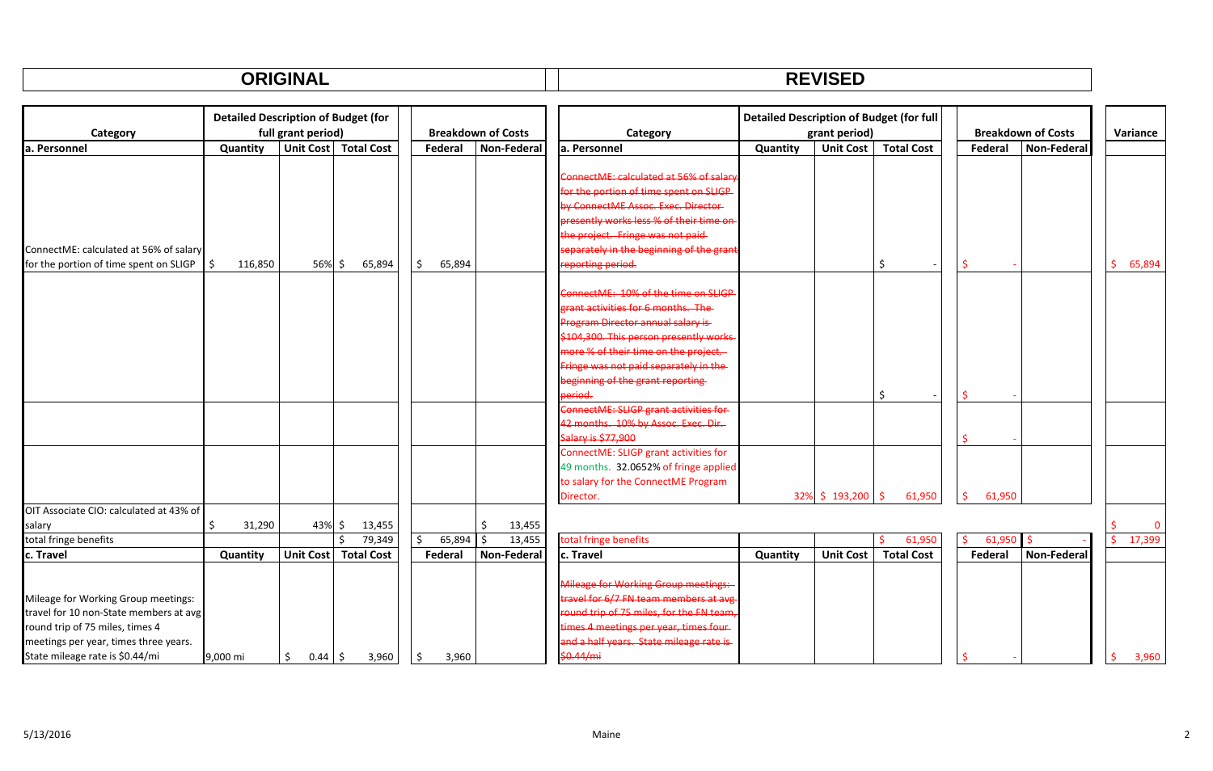#### **ORIGINAL REVISED**

|                                         | <b>Detailed Description of Budget (for</b> |                       |                        |               |                           |                                                | <b>Detailed Description of Budget (for full</b> |                  |                   |              |                           |              |
|-----------------------------------------|--------------------------------------------|-----------------------|------------------------|---------------|---------------------------|------------------------------------------------|-------------------------------------------------|------------------|-------------------|--------------|---------------------------|--------------|
| Category                                |                                            | full grant period)    |                        |               | <b>Breakdown of Costs</b> | Category                                       |                                                 | grant period)    |                   |              | <b>Breakdown of Costs</b> | Variance     |
| a. Personnel                            | Quantity                                   |                       | Unit Cost   Total Cost | Federal       | Non-Federal               | a. Personnel                                   | Quantity                                        | <b>Unit Cost</b> | <b>Total Cost</b> | Federal      | Non-Federal               |              |
|                                         |                                            |                       |                        |               |                           |                                                |                                                 |                  |                   |              |                           |              |
|                                         |                                            |                       |                        |               |                           | ConnectME: calculated at 56% of salar          |                                                 |                  |                   |              |                           |              |
|                                         |                                            |                       |                        |               |                           | or the portion of time spent on SLIGP          |                                                 |                  |                   |              |                           |              |
|                                         |                                            |                       |                        |               |                           | <b>Example Oxford System Contract</b> Pirector |                                                 |                  |                   |              |                           |              |
|                                         |                                            |                       |                        |               |                           | presently works less % of their time on        |                                                 |                  |                   |              |                           |              |
|                                         |                                            |                       |                        |               |                           | the project. Fringe was not paid-              |                                                 |                  |                   |              |                           |              |
| ConnectME: calculated at 56% of salary  |                                            |                       |                        |               |                           | separately in the beginning of the grant       |                                                 |                  |                   |              |                           |              |
| for the portion of time spent on SLIGP  | 116,850                                    | 56%\$                 | 65,894                 | 65,894        |                           | reporting period.                              |                                                 |                  | Ŝ.                |              |                           | Ŝ.<br>65,894 |
|                                         |                                            |                       |                        |               |                           |                                                |                                                 |                  |                   |              |                           |              |
|                                         |                                            |                       |                        |               |                           | ConnectME: 10% of the time on SLIGP            |                                                 |                  |                   |              |                           |              |
|                                         |                                            |                       |                        |               |                           | <b>Frant activities for 6 months. The</b>      |                                                 |                  |                   |              |                           |              |
|                                         |                                            |                       |                        |               |                           | Program Director annual salary is              |                                                 |                  |                   |              |                           |              |
|                                         |                                            |                       |                        |               |                           | \$104,300. This person presently works         |                                                 |                  |                   |              |                           |              |
|                                         |                                            |                       |                        |               |                           | more % of their time on the project.           |                                                 |                  |                   |              |                           |              |
|                                         |                                            |                       |                        |               |                           | Fringe was not paid separately in the-         |                                                 |                  |                   |              |                           |              |
|                                         |                                            |                       |                        |               |                           | beginning of the grant reporting               |                                                 |                  |                   |              |                           |              |
|                                         |                                            |                       |                        |               |                           | <del>eriod.</del>                              |                                                 |                  | Ŝ.                |              |                           |              |
|                                         |                                            |                       |                        |               |                           | ConnectME: SLIGP grant activities for          |                                                 |                  |                   |              |                           |              |
|                                         |                                            |                       |                        |               |                           | 12 months. 10% by Assoc. Exec. Dir.            |                                                 |                  |                   |              |                           |              |
|                                         |                                            |                       |                        |               |                           | Salary is \$77,900                             |                                                 |                  |                   |              |                           |              |
|                                         |                                            |                       |                        |               |                           | ConnectME: SLIGP grant activities for          |                                                 |                  |                   |              |                           |              |
|                                         |                                            |                       |                        |               |                           | 49 months. 32.0652% of fringe applied          |                                                 |                  |                   |              |                           |              |
|                                         |                                            |                       |                        |               |                           | to salary for the ConnectME Program            |                                                 |                  |                   |              |                           |              |
|                                         |                                            |                       |                        |               |                           | Director.                                      |                                                 | 32% \$193,200    | S.<br>61,950      | \$<br>61,950 |                           |              |
| OIT Associate CIO: calculated at 43% of |                                            |                       |                        |               |                           |                                                |                                                 |                  |                   |              |                           |              |
| salary                                  | 31,290                                     | 43% \$                | 13,455                 |               | \$<br>13,455              |                                                |                                                 |                  |                   |              |                           | $\Omega$     |
| total fringe benefits                   |                                            |                       | Ś<br>79,349            | 65,894<br>\$. | 13,455<br>Ŝ.              | total fringe benefits                          |                                                 |                  | 61,950<br>Ŝ.      | 61,950<br>Ŝ. |                           | \$17,399     |
| c. Travel                               | Quantity                                   |                       | Unit Cost Total Cost   | Federal       | Non-Federal               | c. Travel                                      | Quantity                                        | <b>Unit Cost</b> | <b>Total Cost</b> | Federal      | Non-Federal               |              |
|                                         |                                            |                       |                        |               |                           |                                                |                                                 |                  |                   |              |                           |              |
|                                         |                                            |                       |                        |               |                           | <b>Mileage for Working Group meetings:</b>     |                                                 |                  |                   |              |                           |              |
| Mileage for Working Group meetings:     |                                            |                       |                        |               |                           | ravel for 6/7 FN team members at avg           |                                                 |                  |                   |              |                           |              |
| travel for 10 non-State members at avg  |                                            |                       |                        |               |                           | round trip of 75 miles, for the FN team,       |                                                 |                  |                   |              |                           |              |
| round trip of 75 miles, times 4         |                                            |                       |                        |               |                           | times 4 meetings per year, times four-         |                                                 |                  |                   |              |                           |              |
| meetings per year, times three years.   |                                            |                       |                        |               |                           | and a half years. State mileage rate is        |                                                 |                  |                   |              |                           |              |
| State mileage rate is \$0.44/mi         | 9,000 mi                                   | \$<br>$0.44 \quad$ \$ | 3,960                  | 3,960         |                           | \$0.44/mi                                      |                                                 |                  |                   |              |                           | 3,960        |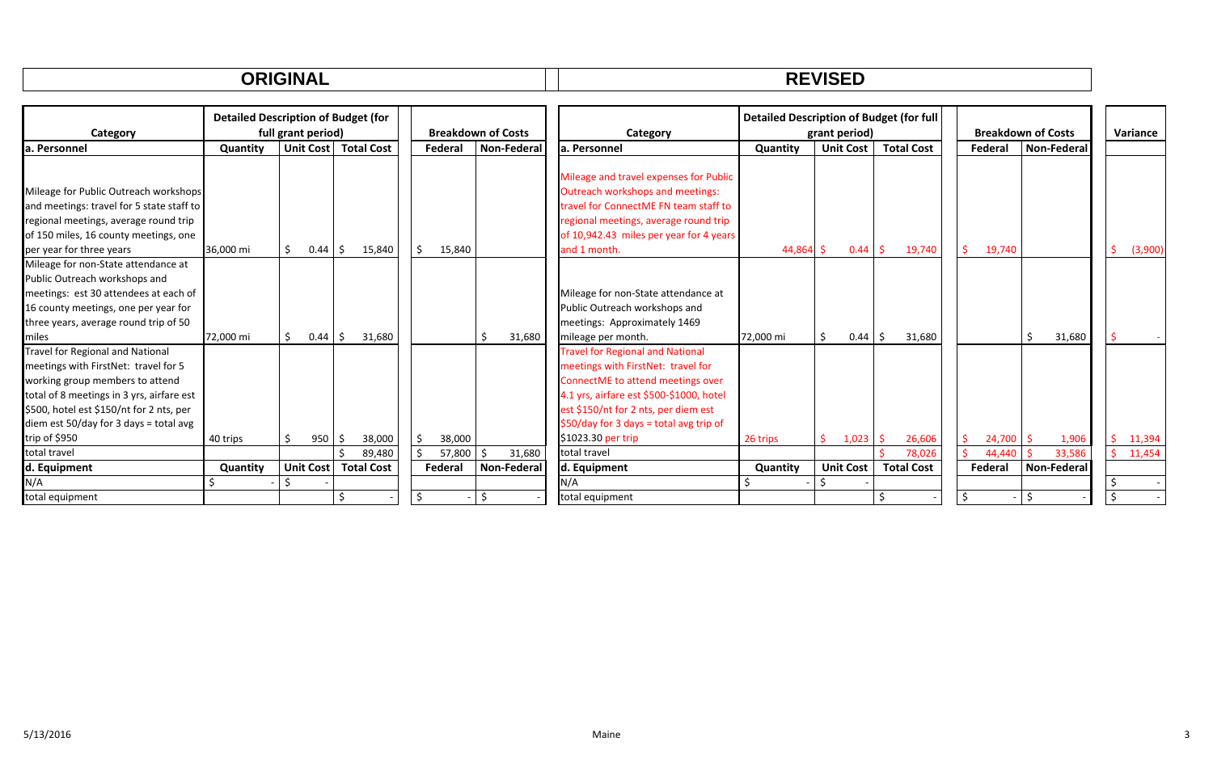#### **ORIGINAL REVISED**

| Category                                  | <b>Detailed Description of Budget (for</b><br>full grant period) |                        |                   |         | <b>Breakdown of Costs</b> | Category                                 | <b>Detailed Description of Budget (for full</b> | grant period)    |                   | <b>Breakdown of Costs</b> | Variance    |               |
|-------------------------------------------|------------------------------------------------------------------|------------------------|-------------------|---------|---------------------------|------------------------------------------|-------------------------------------------------|------------------|-------------------|---------------------------|-------------|---------------|
| la. Personnel                             | Quantity                                                         | Unit Cost              | <b>Total Cost</b> | Federal | <b>Non-Federal</b>        | la. Personnel                            | Quantity                                        | <b>Unit Cost</b> | <b>Total Cost</b> | Federal                   | Non-Federal |               |
|                                           |                                                                  |                        |                   |         |                           |                                          |                                                 |                  |                   |                           |             |               |
|                                           |                                                                  |                        |                   |         |                           | Mileage and travel expenses for Public   |                                                 |                  |                   |                           |             |               |
| Mileage for Public Outreach workshops     |                                                                  |                        |                   |         |                           | Outreach workshops and meetings:         |                                                 |                  |                   |                           |             |               |
| and meetings: travel for 5 state staff to |                                                                  |                        |                   |         |                           | travel for ConnectME FN team staff to    |                                                 |                  |                   |                           |             |               |
| regional meetings, average round trip     |                                                                  |                        |                   |         |                           | regional meetings, average round trip    |                                                 |                  |                   |                           |             |               |
| of 150 miles, 16 county meetings, one     |                                                                  |                        |                   |         |                           | of 10,942.43 miles per year for 4 years  |                                                 |                  |                   |                           |             |               |
| per year for three years                  | 36,000 mi                                                        | $0.44 \mid \zeta$<br>S | 15,840            | 15,840  |                           | and 1 month.                             | 44,864 \$                                       | 0.44             | 19,740<br>-S      | Ŝ<br>19,740               |             | Ŝ.<br>(3,900) |
| Mileage for non-State attendance at       |                                                                  |                        |                   |         |                           |                                          |                                                 |                  |                   |                           |             |               |
| Public Outreach workshops and             |                                                                  |                        |                   |         |                           |                                          |                                                 |                  |                   |                           |             |               |
| meetings: est 30 attendees at each of     |                                                                  |                        |                   |         |                           | Mileage for non-State attendance at      |                                                 |                  |                   |                           |             |               |
| 16 county meetings, one per year for      |                                                                  |                        |                   |         |                           | Public Outreach workshops and            |                                                 |                  |                   |                           |             |               |
| three years, average round trip of 50     |                                                                  |                        |                   |         |                           | meetings: Approximately 1469             |                                                 |                  |                   |                           |             |               |
| miles                                     | 72,000 mi                                                        | 0.44<br>S.             | 31,680<br>-\$     |         | 31,680                    | mileage per month.                       | 72,000 mi                                       | 0.44             | 31,680            |                           | 31,680      |               |
| Travel for Regional and National          |                                                                  |                        |                   |         |                           | <b>Travel for Regional and National</b>  |                                                 |                  |                   |                           |             |               |
| meetings with FirstNet: travel for 5      |                                                                  |                        |                   |         |                           | meetings with FirstNet: travel for       |                                                 |                  |                   |                           |             |               |
| working group members to attend           |                                                                  |                        |                   |         |                           | ConnectME to attend meetings over        |                                                 |                  |                   |                           |             |               |
| total of 8 meetings in 3 yrs, airfare est |                                                                  |                        |                   |         |                           | 4.1 yrs, airfare est \$500-\$1000, hotel |                                                 |                  |                   |                           |             |               |
| \$500, hotel est \$150/nt for 2 nts, per  |                                                                  |                        |                   |         |                           | est \$150/nt for 2 nts, per diem est     |                                                 |                  |                   |                           |             |               |
| diem est 50/day for 3 days = total avg    |                                                                  |                        |                   |         |                           | $$50/day$ for 3 days = total avg trip of |                                                 |                  |                   |                           |             |               |
| trip of \$950                             | 40 trips                                                         | 950<br>Ŝ               | 38,000<br>- Ş     | 38,000  |                           | \$1023.30 per trip                       | 26 trips                                        | 1,023            | 26,606            | Ŝ<br>24,700               | 1,906       | Ŝ.<br>11,394  |
| total travel                              |                                                                  |                        | 89,480            | 57,800  | 31,680                    | total travel                             |                                                 |                  | 78.026            | 44,440                    | 33,586      | 11,454<br>Ś.  |
| d. Equipment                              | Quantity                                                         | <b>Unit Cost</b>       | <b>Total Cost</b> | Federal | Non-Federal               | d. Equipment                             | Quantity                                        | <b>Unit Cost</b> | <b>Total Cost</b> | Federal                   | Non-Federal |               |
| N/A                                       |                                                                  |                        |                   |         |                           | N/A                                      |                                                 |                  |                   |                           |             |               |
| total equipment                           |                                                                  |                        |                   |         | Ś                         | total equipment                          |                                                 |                  |                   |                           |             |               |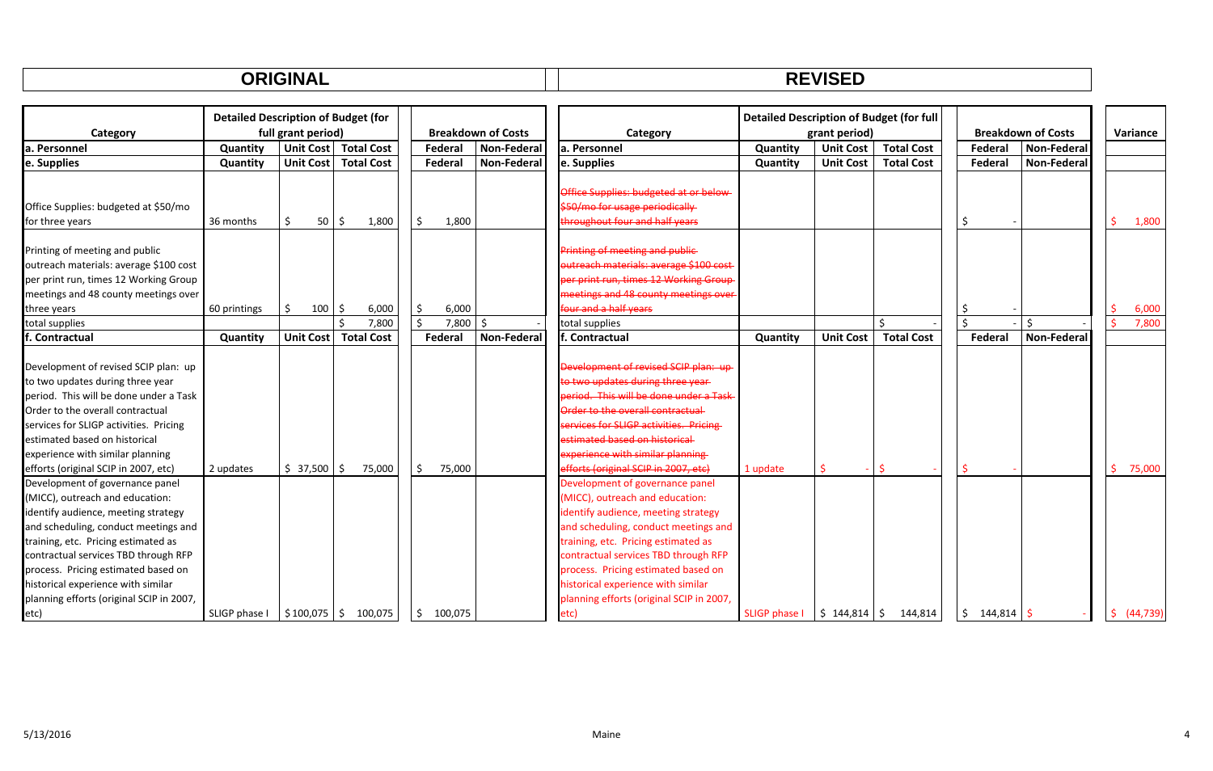|--|

|                                          | <b>Detailed Description of Budget (for</b> |                                       |                   |    |         |                           |                                                | <b>Detailed Description of Budget (for full</b> |                  |                   |                  |                           |          |           |
|------------------------------------------|--------------------------------------------|---------------------------------------|-------------------|----|---------|---------------------------|------------------------------------------------|-------------------------------------------------|------------------|-------------------|------------------|---------------------------|----------|-----------|
| Category                                 |                                            | full grant period)                    |                   |    |         | <b>Breakdown of Costs</b> | Category                                       |                                                 | grant period)    |                   |                  | <b>Breakdown of Costs</b> | Variance |           |
| a. Personnel                             | <b>Quantity</b>                            | <b>Unit Cost</b>                      | <b>Total Cost</b> |    | Federal | <b>Non-Federal</b>        | la. Personnel                                  | Quantity                                        | <b>Unit Cost</b> | <b>Total Cost</b> | Federal          | Non-Federal               |          |           |
| e. Supplies                              | Quantity                                   | <b>Unit Cost</b>                      | <b>Total Cost</b> |    | Federal | <b>Non-Federal</b>        | e. Supplies                                    | Quantity                                        | <b>Unit Cost</b> | <b>Total Cost</b> | Federal          | <b>Non-Federal</b>        |          |           |
|                                          |                                            |                                       |                   |    |         |                           |                                                |                                                 |                  |                   |                  |                           |          |           |
|                                          |                                            |                                       |                   |    |         |                           | Office Supplies: budgeted at or below-         |                                                 |                  |                   |                  |                           |          |           |
| Office Supplies: budgeted at \$50/mo     |                                            |                                       |                   |    |         |                           | \$50/mo for usage periodically                 |                                                 |                  |                   |                  |                           |          |           |
| for three years                          | 36 months                                  | \$<br>50                              | 1,800<br>-S       | Ŝ. | 1,800   |                           | throughout four and half years                 |                                                 |                  |                   | \$               |                           |          | 1,800     |
|                                          |                                            |                                       |                   |    |         |                           |                                                |                                                 |                  |                   |                  |                           |          |           |
| Printing of meeting and public           |                                            |                                       |                   |    |         |                           | Printing of meeting and public                 |                                                 |                  |                   |                  |                           |          |           |
| outreach materials: average \$100 cost   |                                            |                                       |                   |    |         |                           | utreach materials: average \$100 cost          |                                                 |                  |                   |                  |                           |          |           |
| per print run, times 12 Working Group    |                                            |                                       |                   |    |         |                           | er print run, times 12 Working Group           |                                                 |                  |                   |                  |                           |          |           |
| meetings and 48 county meetings over     |                                            |                                       |                   |    |         |                           | meetings and 48 county meetings over           |                                                 |                  |                   |                  |                           |          |           |
| three years                              | 60 printings                               | \$<br>100                             | 6,000<br>-S       | \$ | 6,000   |                           | four and a half years                          |                                                 |                  |                   | S                |                           |          | 6,000     |
| total supplies                           |                                            |                                       | 7,800             | Ś. | 7,800   | Ŝ.                        | total supplies                                 |                                                 |                  | \$                | $\zeta$          | Ś                         |          | 7,800     |
| . Contractual                            | Quantity                                   | <b>Unit Cost</b>                      | <b>Total Cost</b> |    | Federal | <b>Non-Federal</b>        | lf. Contractual                                | Quantity                                        | <b>Unit Cost</b> | <b>Total Cost</b> | Federal          | <b>Non-Federal</b>        |          |           |
|                                          |                                            |                                       |                   |    |         |                           |                                                |                                                 |                  |                   |                  |                           |          |           |
| Development of revised SCIP plan: up     |                                            |                                       |                   |    |         |                           | Development of revised SCIP plan: up           |                                                 |                  |                   |                  |                           |          |           |
| to two updates during three year         |                                            |                                       |                   |    |         |                           | o two updates during three year                |                                                 |                  |                   |                  |                           |          |           |
| period. This will be done under a Task   |                                            |                                       |                   |    |         |                           | eriod. This will be done under a Task          |                                                 |                  |                   |                  |                           |          |           |
| Order to the overall contractual         |                                            |                                       |                   |    |         |                           | Order to the overall contractual               |                                                 |                  |                   |                  |                           |          |           |
| services for SLIGP activities. Pricing   |                                            |                                       |                   |    |         |                           | <b>Services for SLIGP activities. Pricing-</b> |                                                 |                  |                   |                  |                           |          |           |
| estimated based on historical            |                                            |                                       |                   |    |         |                           | estimated based on historical                  |                                                 |                  |                   |                  |                           |          |           |
| experience with similar planning         |                                            |                                       |                   |    |         |                           | <b>Experience with similar planning</b>        |                                                 |                  |                   |                  |                           |          |           |
| efforts (original SCIP in 2007, etc)     | 2 updates                                  | $$37,500$ \$                          | 75,000            | \$ | 75,000  |                           | efforts (original SCIP in 2007, etc)           | 1 update                                        |                  |                   |                  |                           | S        | 75,000    |
| Development of governance panel          |                                            |                                       |                   |    |         |                           | Development of governance panel                |                                                 |                  |                   |                  |                           |          |           |
| (MICC), outreach and education:          |                                            |                                       |                   |    |         |                           | (MICC), outreach and education:                |                                                 |                  |                   |                  |                           |          |           |
| identify audience, meeting strategy      |                                            |                                       |                   |    |         |                           | identify audience, meeting strategy            |                                                 |                  |                   |                  |                           |          |           |
| and scheduling, conduct meetings and     |                                            |                                       |                   |    |         |                           | and scheduling, conduct meetings and           |                                                 |                  |                   |                  |                           |          |           |
| training, etc. Pricing estimated as      |                                            |                                       |                   |    |         |                           | training, etc. Pricing estimated as            |                                                 |                  |                   |                  |                           |          |           |
| contractual services TBD through RFP     |                                            |                                       |                   |    |         |                           | contractual services TBD through RFP           |                                                 |                  |                   |                  |                           |          |           |
| process. Pricing estimated based on      |                                            |                                       |                   |    |         |                           | process. Pricing estimated based on            |                                                 |                  |                   |                  |                           |          |           |
| historical experience with similar       |                                            |                                       |                   |    |         |                           | historical experience with similar             |                                                 |                  |                   |                  |                           |          |           |
| planning efforts (original SCIP in 2007, |                                            |                                       |                   |    |         |                           | planning efforts (original SCIP in 2007,       |                                                 |                  |                   |                  |                           |          |           |
| etc)                                     | SLIGP phase I                              | $\frac{1}{2}$ \$100,075 $\frac{1}{2}$ | 100,075           | Ŝ. | 100,075 |                           | letc)                                          | <b>SLIGP phase I</b>                            | $$144,814$ $$$   | 144,814           | \$<br>144,814 \$ |                           | Ś.       | (44, 739) |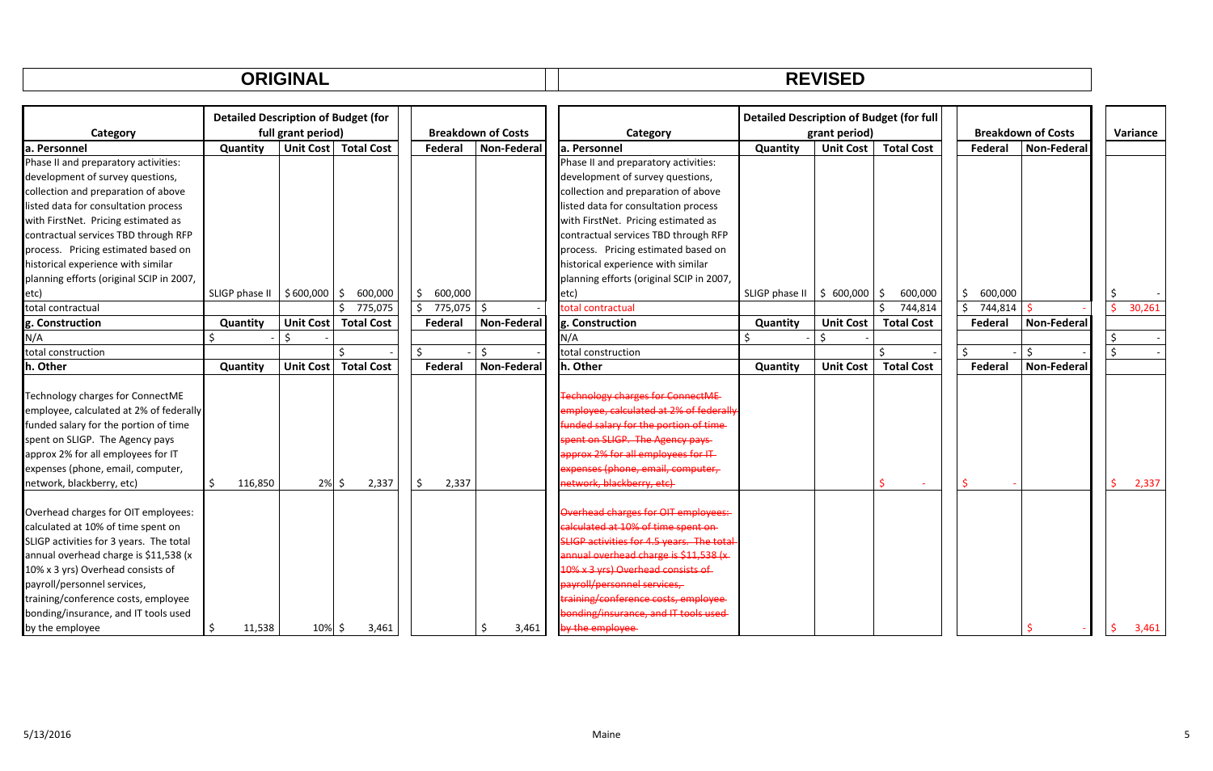| DEVICED<br>.<br>◝ |
|-------------------|
|-------------------|

|                                          | <b>Detailed Description of Budget (for</b> |                    |                        |             |                           |                                           | <b>Detailed Description of Budget (for full</b> |                  |                   |               |                           |             |
|------------------------------------------|--------------------------------------------|--------------------|------------------------|-------------|---------------------------|-------------------------------------------|-------------------------------------------------|------------------|-------------------|---------------|---------------------------|-------------|
| Category                                 |                                            | full grant period) |                        |             | <b>Breakdown of Costs</b> | Category                                  |                                                 | grant period)    |                   |               | <b>Breakdown of Costs</b> | Variance    |
| a. Personnel                             | Quantity                                   |                    | Unit Cost   Total Cost | Federal     | Non-Federal               | la. Personnel                             | Quantity                                        | <b>Unit Cost</b> | <b>Total Cost</b> | Federal       | <b>Non-Federal</b>        |             |
| Phase II and preparatory activities:     |                                            |                    |                        |             |                           | Phase II and preparatory activities:      |                                                 |                  |                   |               |                           |             |
| development of survey questions,         |                                            |                    |                        |             |                           | development of survey questions,          |                                                 |                  |                   |               |                           |             |
| collection and preparation of above      |                                            |                    |                        |             |                           | collection and preparation of above       |                                                 |                  |                   |               |                           |             |
| listed data for consultation process     |                                            |                    |                        |             |                           | listed data for consultation process      |                                                 |                  |                   |               |                           |             |
| with FirstNet. Pricing estimated as      |                                            |                    |                        |             |                           | with FirstNet. Pricing estimated as       |                                                 |                  |                   |               |                           |             |
| contractual services TBD through RFP     |                                            |                    |                        |             |                           | contractual services TBD through RFP      |                                                 |                  |                   |               |                           |             |
| process. Pricing estimated based on      |                                            |                    |                        |             |                           | process. Pricing estimated based on       |                                                 |                  |                   |               |                           |             |
| historical experience with similar       |                                            |                    |                        |             |                           | historical experience with similar        |                                                 |                  |                   |               |                           |             |
| planning efforts (original SCIP in 2007, |                                            |                    |                        |             |                           | planning efforts (original SCIP in 2007,  |                                                 |                  |                   |               |                           |             |
| etc)                                     | SLIGP phase II                             | $$600,000$ $$$     | 600,000                | 600,000     |                           | etc)                                      | SLIGP phase II                                  | \$600,000        | \$<br>600,000     | \$<br>600,000 |                           |             |
| total contractual                        |                                            |                    | \$775,075              | 775,075     | Ŝ.                        | total contractual                         |                                                 |                  | Ś.<br>744,814     | Ś.<br>744,814 |                           | 30,261<br>Ŝ |
| g. Construction                          | Quantity                                   |                    | Unit Cost   Total Cost | Federal     | Non-Federal               | g. Construction                           | Quantity                                        | <b>Unit Cost</b> | <b>Total Cost</b> | Federal       | <b>Non-Federal</b>        |             |
| N/A                                      | Ŝ.                                         |                    |                        |             |                           | N/A                                       |                                                 | Ŝ.               |                   |               |                           | \$          |
| total construction                       |                                            |                    |                        |             | Ŝ.                        | total construction                        |                                                 |                  | ¢.                | Ś.            | $\mathsf{S}$              | Ś           |
| h. Other                                 | Quantity                                   | <b>Unit Cost</b>   | <b>Total Cost</b>      | Federal     | Non-Federal               | h. Other                                  | Quantity                                        | <b>Unit Cost</b> | <b>Total Cost</b> | Federal       | Non-Federal               |             |
|                                          |                                            |                    |                        |             |                           |                                           |                                                 |                  |                   |               |                           |             |
| Technology charges for ConnectME         |                                            |                    |                        |             |                           | <b>Technology charges for ConnectME</b>   |                                                 |                  |                   |               |                           |             |
| employee, calculated at 2% of federally  |                                            |                    |                        |             |                           | employee, calculated at 2% of federally   |                                                 |                  |                   |               |                           |             |
| funded salary for the portion of time    |                                            |                    |                        |             |                           | unded salary for the portion of time      |                                                 |                  |                   |               |                           |             |
| spent on SLIGP. The Agency pays          |                                            |                    |                        |             |                           | pent on SLIGP. The Agency pays            |                                                 |                  |                   |               |                           |             |
| approx 2% for all employees for IT       |                                            |                    |                        |             |                           | norox 2% for all employees for IT-        |                                                 |                  |                   |               |                           |             |
| expenses (phone, email, computer,        |                                            |                    |                        |             |                           | expenses (phone, email, computer,         |                                                 |                  |                   |               |                           |             |
| network, blackberry, etc)                | Ŝ.<br>116,850                              | $2\%$ \$           | 2,337                  | 2,337<br>Ś. |                           | network, blackberry, etc)                 |                                                 |                  |                   |               |                           | 2,337       |
|                                          |                                            |                    |                        |             |                           |                                           |                                                 |                  |                   |               |                           |             |
| Overhead charges for OIT employees:      |                                            |                    |                        |             |                           | Overhead charges for OIT employees:       |                                                 |                  |                   |               |                           |             |
| calculated at 10% of time spent on       |                                            |                    |                        |             |                           | calculated at 10% of time spent on        |                                                 |                  |                   |               |                           |             |
| SLIGP activities for 3 years. The total  |                                            |                    |                        |             |                           | SLIGP activities for 4.5 years. The total |                                                 |                  |                   |               |                           |             |
| annual overhead charge is \$11,538 (x    |                                            |                    |                        |             |                           | annual overhead charge is \$11.538 (x)    |                                                 |                  |                   |               |                           |             |
| 10% x 3 yrs) Overhead consists of        |                                            |                    |                        |             |                           | 10% x 3 yrs) Overhead consists of         |                                                 |                  |                   |               |                           |             |
| payroll/personnel services,              |                                            |                    |                        |             |                           | payroll/personnel services,               |                                                 |                  |                   |               |                           |             |
| training/conference costs, employee      |                                            |                    |                        |             |                           | training/conference costs, employee       |                                                 |                  |                   |               |                           |             |
| bonding/insurance, and IT tools used     |                                            |                    |                        |             |                           | bonding/insurance, and IT tools used      |                                                 |                  |                   |               |                           |             |
| by the employee                          | \$<br>11,538                               | 10% \$             | 3,461                  |             | 3,461<br>.S               | by the employee                           |                                                 |                  |                   |               |                           | 3,461       |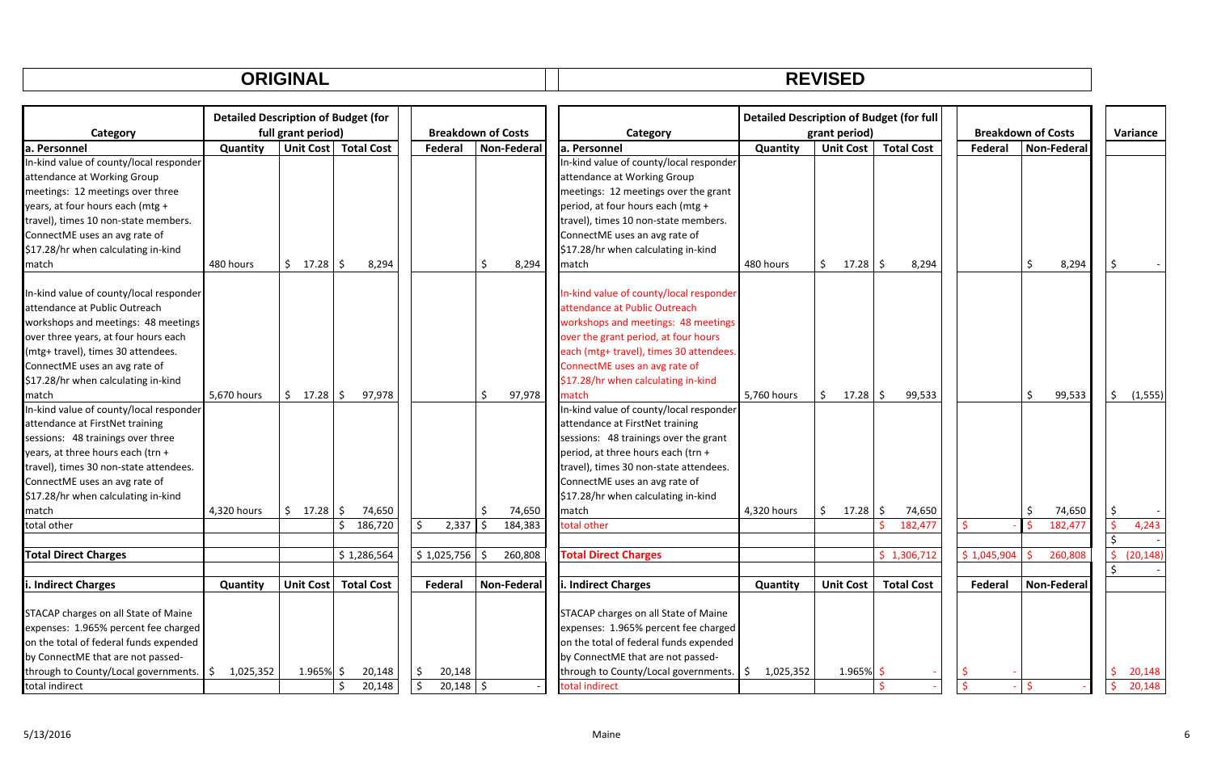|  | <b>DEVICED</b><br>.<br>--- |
|--|----------------------------|
|--|----------------------------|

|                                         | <b>Detailed Description of Budget (for</b> |                    |                        | <b>Breakdown of Costs</b>    |         |             |  | <b>Detailed Description of Budget (for full</b><br>grant period) |             |                  |              |                   |  |                           |    |                    |                     |           |
|-----------------------------------------|--------------------------------------------|--------------------|------------------------|------------------------------|---------|-------------|--|------------------------------------------------------------------|-------------|------------------|--------------|-------------------|--|---------------------------|----|--------------------|---------------------|-----------|
| Category                                |                                            | full grant period) |                        |                              |         |             |  | Category                                                         |             |                  |              |                   |  | <b>Breakdown of Costs</b> |    |                    |                     | Variance  |
| la. Personnel                           | Quantity                                   |                    | Unit Cost   Total Cost | Federal                      |         | Non-Federal |  | la. Personnel                                                    | Quantity    | <b>Unit Cost</b> |              | <b>Total Cost</b> |  | Federal                   |    | <b>Non-Federal</b> |                     |           |
| In-kind value of county/local responder |                                            |                    |                        |                              |         |             |  | In-kind value of county/local responder                          |             |                  |              |                   |  |                           |    |                    |                     |           |
| attendance at Working Group             |                                            |                    |                        |                              |         |             |  | attendance at Working Group                                      |             |                  |              |                   |  |                           |    |                    |                     |           |
| meetings: 12 meetings over three        |                                            |                    |                        |                              |         |             |  | meetings: 12 meetings over the grant                             |             |                  |              |                   |  |                           |    |                    |                     |           |
| years, at four hours each (mtg +        |                                            |                    |                        |                              |         |             |  | period, at four hours each (mtg +                                |             |                  |              |                   |  |                           |    |                    |                     |           |
| travel), times 10 non-state members.    |                                            |                    |                        |                              |         |             |  | travel), times 10 non-state members.                             |             |                  |              |                   |  |                           |    |                    |                     |           |
| ConnectME uses an avg rate of           |                                            |                    |                        |                              |         |             |  | ConnectME uses an avg rate of                                    |             |                  |              |                   |  |                           |    |                    |                     |           |
| \$17.28/hr when calculating in-kind     |                                            |                    |                        |                              |         |             |  | \$17.28/hr when calculating in-kind                              |             |                  |              |                   |  |                           |    |                    |                     |           |
| match                                   | 480 hours                                  | \$17.28            | S.<br>8,294            |                              | Ś.      | 8,294       |  | match                                                            | 480 hours   | \$               | 17.28        | l \$<br>8,294     |  |                           | Ś. | 8,294              | - \$                |           |
| In-kind value of county/local responder |                                            |                    |                        |                              |         |             |  | In-kind value of county/local responder                          |             |                  |              |                   |  |                           |    |                    |                     |           |
| attendance at Public Outreach           |                                            |                    |                        |                              |         |             |  | attendance at Public Outreach                                    |             |                  |              |                   |  |                           |    |                    |                     |           |
| workshops and meetings: 48 meetings     |                                            |                    |                        |                              |         |             |  | workshops and meetings: 48 meetings                              |             |                  |              |                   |  |                           |    |                    |                     |           |
| over three years, at four hours each    |                                            |                    |                        |                              |         |             |  | over the grant period, at four hours                             |             |                  |              |                   |  |                           |    |                    |                     |           |
| (mtg+ travel), times 30 attendees.      |                                            |                    |                        |                              |         |             |  | each (mtg+ travel), times 30 attendees.                          |             |                  |              |                   |  |                           |    |                    |                     |           |
| ConnectME uses an avg rate of           |                                            |                    |                        |                              |         |             |  | ConnectME uses an avg rate of                                    |             |                  |              |                   |  |                           |    |                    |                     |           |
| \$17.28/hr when calculating in-kind     |                                            |                    |                        |                              |         |             |  | \$17.28/hr when calculating in-kind                              |             |                  |              |                   |  |                           |    |                    |                     |           |
| match                                   | 5,670 hours                                | \$17.28            | 97,978                 |                              | $\zeta$ | 97,978      |  | match                                                            | 5,760 hours | $\mathsf{S}$     | 17.28        | l \$<br>99,533    |  |                           | Ŝ. | 99,533             | $\ddot{\mathsf{S}}$ | (1, 555)  |
| In-kind value of county/local responder |                                            |                    |                        |                              |         |             |  | In-kind value of county/local responder                          |             |                  |              |                   |  |                           |    |                    |                     |           |
| attendance at FirstNet training         |                                            |                    |                        |                              |         |             |  | attendance at FirstNet training                                  |             |                  |              |                   |  |                           |    |                    |                     |           |
| sessions: 48 trainings over three       |                                            |                    |                        |                              |         |             |  | sessions: 48 trainings over the grant                            |             |                  |              |                   |  |                           |    |                    |                     |           |
| years, at three hours each (trn +       |                                            |                    |                        |                              |         |             |  | period, at three hours each (trn +                               |             |                  |              |                   |  |                           |    |                    |                     |           |
| travel), times 30 non-state attendees.  |                                            |                    |                        |                              |         |             |  | travel), times 30 non-state attendees.                           |             |                  |              |                   |  |                           |    |                    |                     |           |
| ConnectME uses an avg rate of           |                                            |                    |                        |                              |         |             |  | ConnectME uses an avg rate of                                    |             |                  |              |                   |  |                           |    |                    |                     |           |
| \$17.28/hr when calculating in-kind     |                                            |                    |                        |                              |         |             |  | \$17.28/hr when calculating in-kind                              |             |                  |              |                   |  |                           |    |                    |                     |           |
| match                                   | 4,320 hours                                | \$17.28            | 74,650                 |                              | \$      | 74,650      |  | match                                                            | 4,320 hours | \$               | $17.28$ \$   | 74,650            |  |                           | Ŝ. | 74,650             | \$                  |           |
| total other                             |                                            |                    | Ś.<br>186,720          | 2,337                        | Ŝ.      | 184,383     |  | total other                                                      |             |                  |              | 182,477           |  |                           |    | 182,477            | \$                  | 4,243     |
|                                         |                                            |                    |                        |                              |         |             |  |                                                                  |             |                  |              |                   |  |                           |    |                    | Ś.                  |           |
| <b>Total Direct Charges</b>             |                                            |                    | \$1,286,564            | $$1,025,756$ \$              |         | 260,808     |  | <b>Total Direct Charges</b>                                      |             |                  |              | \$1,306,712       |  | \$1,045,904               |    | 260,808            | Ś.                  | (20, 148) |
|                                         |                                            |                    |                        |                              |         |             |  |                                                                  |             |                  |              |                   |  |                           |    |                    |                     |           |
| . Indirect Charges                      | Quantity                                   | <b>Unit Cost</b>   | <b>Total Cost</b>      | Federal                      |         | Non-Federal |  | . Indirect Charges                                               | Quantity    | <b>Unit Cost</b> |              | <b>Total Cost</b> |  | Federal                   |    | <b>Non-Federal</b> |                     |           |
| STACAP charges on all State of Maine    |                                            |                    |                        |                              |         |             |  | STACAP charges on all State of Maine                             |             |                  |              |                   |  |                           |    |                    |                     |           |
| expenses: 1.965% percent fee charged    |                                            |                    |                        |                              |         |             |  | expenses: 1.965% percent fee charged                             |             |                  |              |                   |  |                           |    |                    |                     |           |
| on the total of federal funds expended  |                                            |                    |                        |                              |         |             |  | on the total of federal funds expended                           |             |                  |              |                   |  |                           |    |                    |                     |           |
| by ConnectME that are not passed-       |                                            |                    |                        |                              |         |             |  | by ConnectME that are not passed-                                |             |                  |              |                   |  |                           |    |                    |                     |           |
| through to County/Local governments.    | \$<br>1,025,352                            | $1.965\%$ \$       | 20,148                 | 20,148                       |         |             |  | through to County/Local governments.   \$                        | 1,025,352   |                  | $1.965\%$ \$ |                   |  |                           |    |                    |                     | 20,148    |
| total indirect                          |                                            |                    | 20.148                 | $\mathcal{S}$<br>$20,148$ \$ |         |             |  | total indirect                                                   |             |                  |              |                   |  |                           |    |                    |                     | 20.148    |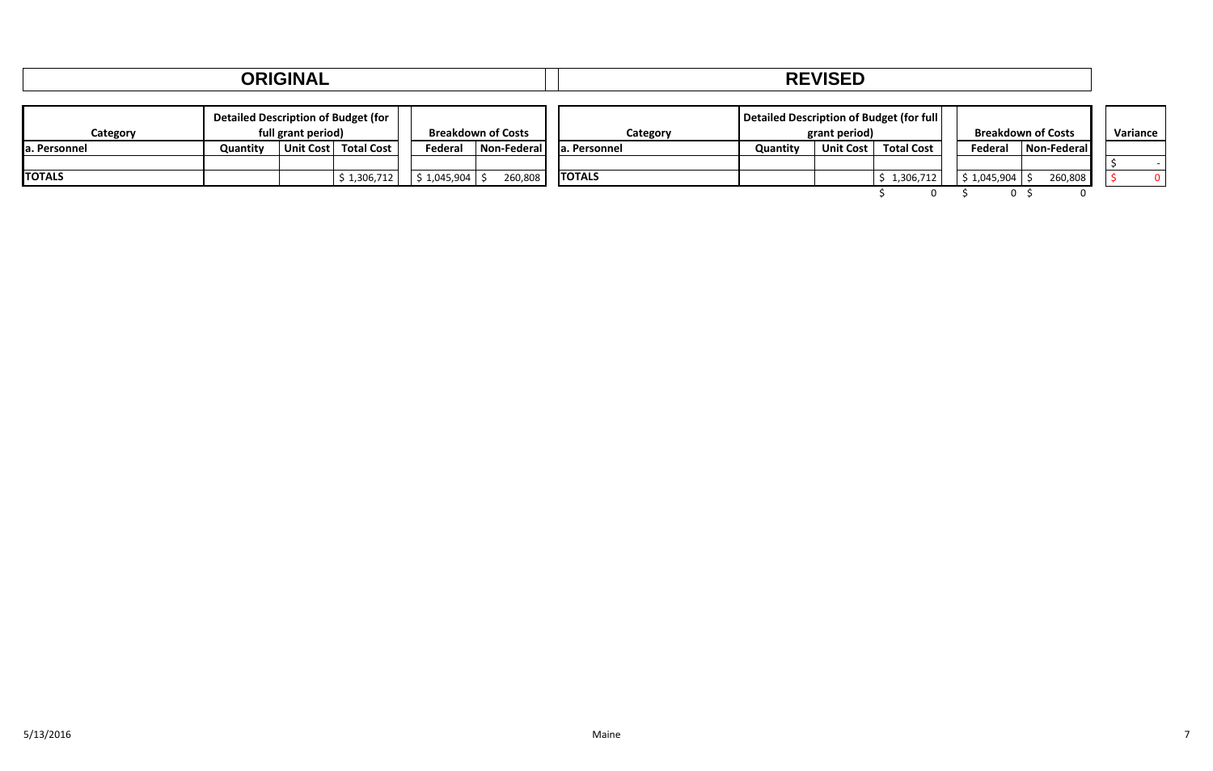|               |                                            | <b>ORIGINAL</b>    |                   |             |                           | <b>REVISED</b> |                                          |                  |                   |                              |                           |          |  |  |  |
|---------------|--------------------------------------------|--------------------|-------------------|-------------|---------------------------|----------------|------------------------------------------|------------------|-------------------|------------------------------|---------------------------|----------|--|--|--|
| Category      | <b>Detailed Description of Budget (for</b> | full grant period) |                   |             | <b>Breakdown of Costs</b> | Category       | Detailed Description of Budget (for full | grant period)    |                   |                              | <b>Breakdown of Costs</b> | Variance |  |  |  |
| a. Personnel  | Quantity                                   | Unit Cost          | <b>Total Cost</b> | Federal     | Non-Federal               | la. Personnel  | Quantity                                 | <b>Unit Cost</b> | <b>Total Cost</b> | Federal                      | Non-Federal               |          |  |  |  |
| <b>TOTALS</b> |                                            |                    | \$1,306,712       | \$1,045,904 | 260,808                   | <b>TOTALS</b>  |                                          |                  | \$1,306,712       | $\frac{1}{2}$ \$ 1,045,904 S | 260,808                   |          |  |  |  |
|               |                                            |                    |                   |             |                           |                |                                          |                  |                   |                              |                           |          |  |  |  |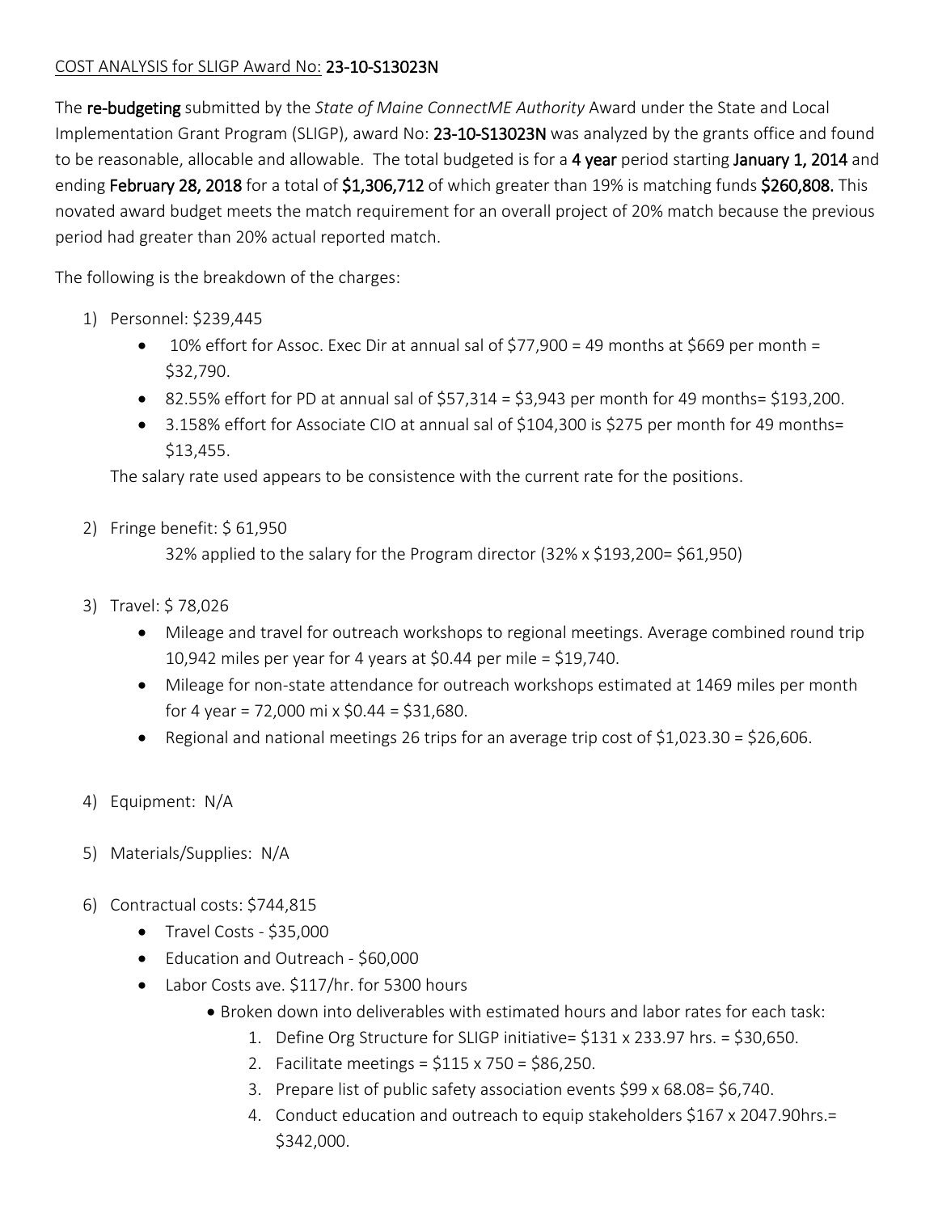## COST ANALYSIS for SLIGP Award No: 23-10-S13023N

The re-budgeting submitted by the *State of Maine ConnectME Authority* Award under the State and Local Implementation Grant Program (SLIGP), award No: 23-10-S13023N was analyzed by the grants office and found to be reasonable, allocable and allowable. The total budgeted is for a 4 year period starting January 1, 2014 and ending February 28, 2018 for a total of \$1,306,712 of which greater than 19% is matching funds \$260,808. This novated award budget meets the match requirement for an overall project of 20% match because the previous period had greater than 20% actual reported match.

The following is the breakdown of the charges:

- 1) Personnel: \$239,445
	- $\bullet$  10% effort for Assoc. Exec Dir at annual sal of \$77,900 = 49 months at \$669 per month = \$32,790.
	- 82.55% effort for PD at annual sal of  $$57,314 = $3,943$  per month for 49 months= \$193,200.
	- 3.158% effort for Associate CIO at annual sal of \$104,300 is \$275 per month for 49 months= \$13,455.

The salary rate used appears to be consistence with the current rate for the positions.

2) Fringe benefit: \$ 61,950

32% applied to the salary for the Program director (32% x \$193,200= \$61,950)

- 3) Travel: \$ 78,026
	- Mileage and travel for outreach workshops to regional meetings. Average combined round trip 10,942 miles per year for 4 years at \$0.44 per mile = \$19,740.
	- Mileage for non-state attendance for outreach workshops estimated at 1469 miles per month for 4 year = 72,000 mi x  $$0.44 = $31,680$ .
	- Regional and national meetings 26 trips for an average trip cost of  $$1,023.30 = $26,606$ .
- 4) Equipment: N/A
- 5) Materials/Supplies: N/A
- 6) Contractual costs: \$744,815
	- Travel Costs \$35,000
	- Education and Outreach \$60,000
	- Labor Costs ave. \$117/hr. for 5300 hours
		- Broken down into deliverables with estimated hours and labor rates for each task:
			- 1. Define Org Structure for SLIGP initiative= \$131 x 233.97 hrs. = \$30,650.
			- 2. Facilitate meetings = \$115 x 750 = \$86,250.
			- 3. Prepare list of public safety association events \$99 x 68.08= \$6,740.
			- 4. Conduct education and outreach to equip stakeholders \$167 x 2047.90hrs.= \$342,000.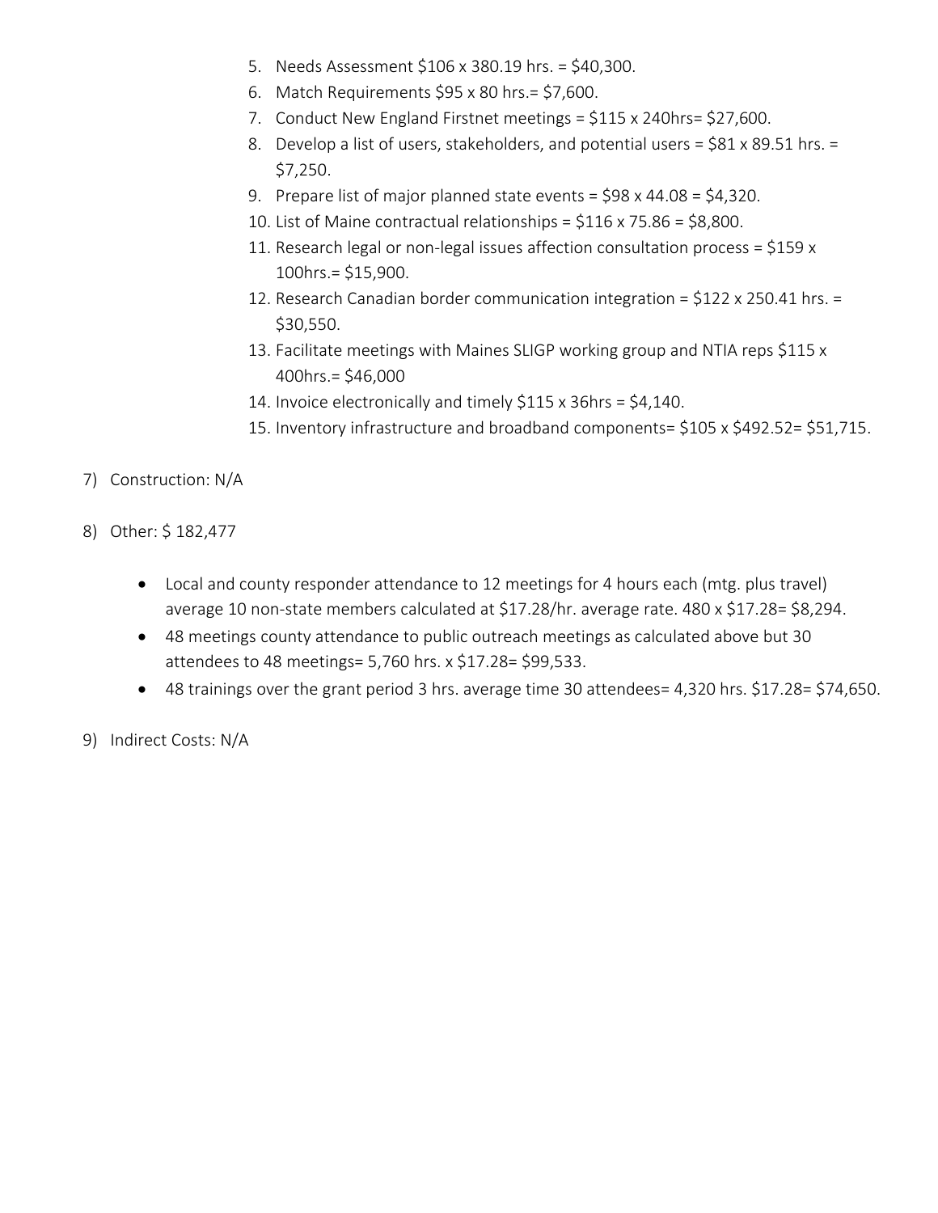- 5. Needs Assessment \$106 x 380.19 hrs. = \$40,300.
- 6. Match Requirements \$95 x 80 hrs.= \$7,600.
- 7. Conduct New England Firstnet meetings = \$115 x 240hrs= \$27,600.
- 8. Develop a list of users, stakeholders, and potential users = \$81 x 89.51 hrs. = \$7,250.
- 9. Prepare list of major planned state events = \$98 x 44.08 = \$4,320.
- 10. List of Maine contractual relationships =  $$116 \times 75.86 = $8,800$ .
- 11. Research legal or non-legal issues affection consultation process = \$159 x 100hrs.= \$15,900.
- 12. Research Canadian border communication integration = \$122 x 250.41 hrs. = \$30,550.
- 13. Facilitate meetings with Maines SLIGP working group and NTIA reps \$115 x 400hrs.= \$46,000
- 14. Invoice electronically and timely \$115 x 36hrs = \$4,140.
- 15. Inventory infrastructure and broadband components= \$105 x \$492.52= \$51,715.
- 7) Construction: N/A
- 8) Other: \$ 182,477
	- Local and county responder attendance to 12 meetings for 4 hours each (mtg. plus travel) average 10 non-state members calculated at \$17.28/hr. average rate. 480 x \$17.28= \$8,294.
	- 48 meetings county attendance to public outreach meetings as calculated above but 30 attendees to 48 meetings= 5,760 hrs. x \$17.28= \$99,533.
	- 48 trainings over the grant period 3 hrs. average time 30 attendees= 4,320 hrs. \$17.28= \$74,650.
- 9) Indirect Costs: N/A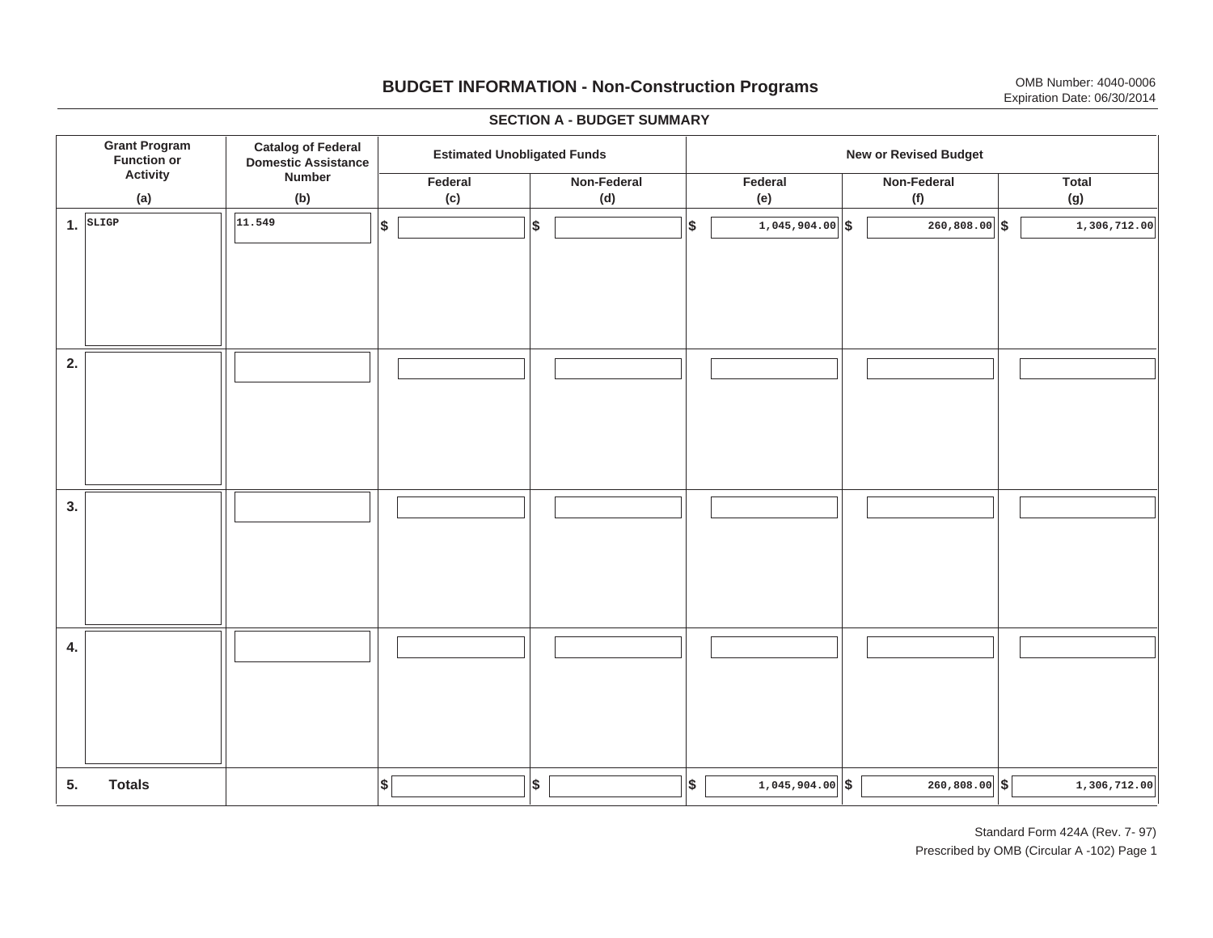# **BUDGET INFORMATION - Non-Construction Programs** OMB Number: 4040-0006 Expiration Date: 06/30/2014

**\$ Grant Program Function or Activity (a) Catalog of Federal Domestic Assistance Number (b) Estimated Unobligated Funds**<br> **Extimated Unobligated Funds Federal(c) Non-Federal(d) Federal(e) Non-Federal (f) Total(g) 5. Totals4. 3. 2. 1.SLIGP**. SLIGP || |11.549 | |\$ | ||\$ | ||\$ | 1,045,904.00||\$ | 260,808.00||\$ **\$ \$ \$ \$ \$ 1,045,904.00 260,808.00 1,306,712.00 11.5491,045,904.00 1,045,904.00 1,306,712.00 1,306,712.00** 

#### **SECTION A - BUDGET SUMMARY**

Standard Form 424A (Rev. 7- 97) Prescribed by OMB (Circular A -102) Page 1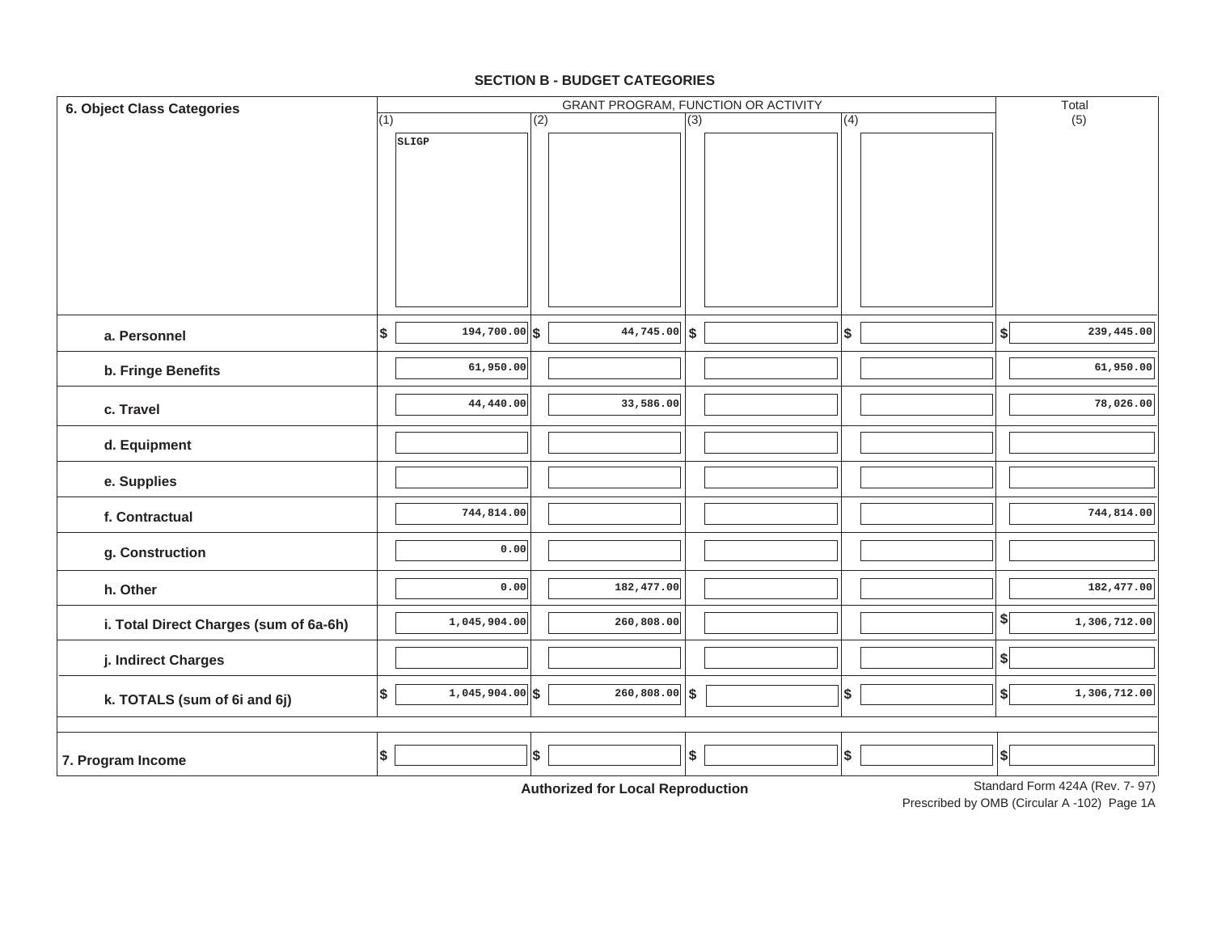### **SECTION B - BUDGET CATEGORIES**

| 6. Object Class Categories             |     |                   |     |                       |                  | GRANT PROGRAM, FUNCTION OR ACTIVITY |            |                              | Total                           |
|----------------------------------------|-----|-------------------|-----|-----------------------|------------------|-------------------------------------|------------|------------------------------|---------------------------------|
|                                        | (1) |                   | (2) |                       | $\overline{(3)}$ |                                     | (4)        |                              | (5)                             |
|                                        |     | SLIGP             |     |                       |                  |                                     |            |                              |                                 |
| a. Personnel                           | \$  | $194,700.00$ \$   |     | $\sqrt{44,745.00}$ \$ |                  |                                     | \$         | $\left  \right\rangle$       | 239,445.00                      |
| b. Fringe Benefits                     |     | 61,950.00         |     |                       |                  |                                     |            |                              | 61,950.00                       |
| c. Travel                              |     | 44,440.00         |     | 33,586.00             |                  |                                     |            |                              | 78,026.00                       |
| d. Equipment                           |     |                   |     |                       |                  |                                     |            |                              |                                 |
| e. Supplies                            |     |                   |     |                       |                  |                                     |            |                              |                                 |
| f. Contractual                         |     | 744,814.00        |     |                       |                  |                                     |            |                              | 744,814.00                      |
| g. Construction                        |     | 0.00              |     |                       |                  |                                     |            |                              |                                 |
| h. Other                               |     | 0.00              |     | 182,477.00            |                  |                                     |            |                              | 182,477.00                      |
| i. Total Direct Charges (sum of 6a-6h) |     | 1,045,904.00      |     | 260,808.00            |                  |                                     |            | $\left  \frac{1}{2} \right $ | 1,306,712.00                    |
| j. Indirect Charges                    |     |                   |     |                       |                  |                                     |            | $\boldsymbol{\$}$            |                                 |
| k. TOTALS (sum of 6i and 6j)           | ∣\$ | $1,045,904.00$ \$ |     | $260,808.00$ \$       |                  |                                     | $\sqrt{2}$ | $\left  \right\rangle$       | 1,306,712.00                    |
|                                        |     |                   |     |                       |                  |                                     |            |                              |                                 |
| 7. Program Income                      | Ι\$ |                   | \$  |                       | \$               |                                     | $\pmb{\$}$ | $\vert$ \$                   | Standard Form 424A (Rev. 7, 97) |

**Authorized for Local Reproduction**

Standard Form 424A (Rev. 7- 97)

Prescribed by OMB (Circular A -102) Page 1A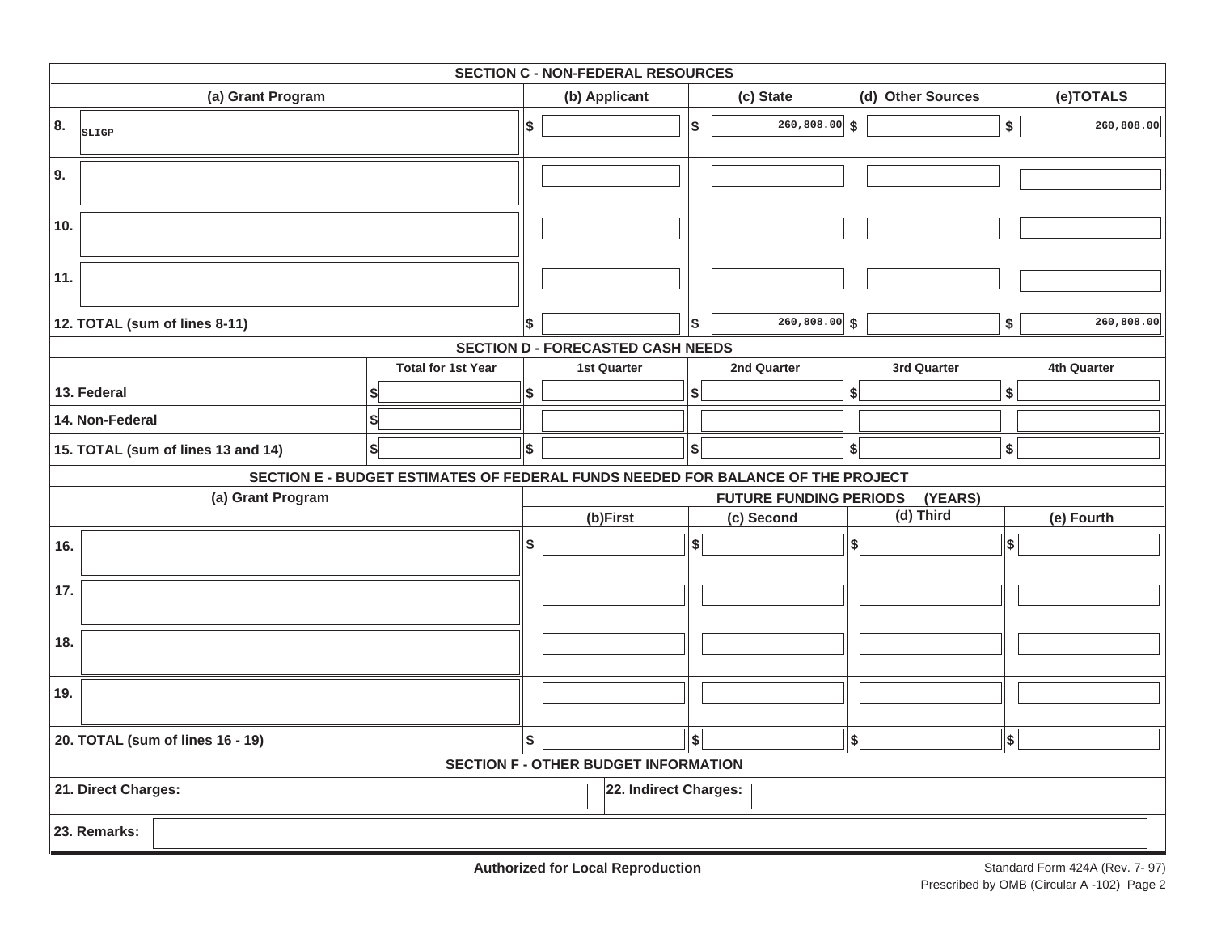|                       | <b>SECTION C - NON-FEDERAL RESOURCES</b> |                                                                                 |    |                                             |                 |                               |                    |            |             |            |  |  |  |  |
|-----------------------|------------------------------------------|---------------------------------------------------------------------------------|----|---------------------------------------------|-----------------|-------------------------------|--------------------|------------|-------------|------------|--|--|--|--|
|                       | (a) Grant Program                        | (b) Applicant                                                                   |    |                                             | (c) State       | (d) Other Sources             |                    |            | (e)TOTALS   |            |  |  |  |  |
| 8.                    | SLIGP                                    | \$                                                                              |    | 5                                           | 260,808.00      | ∣\$                           |                    | \$         | 260,808.00  |            |  |  |  |  |
| 9.                    |                                          |                                                                                 |    |                                             |                 |                               |                    |            |             |            |  |  |  |  |
| 10.                   |                                          |                                                                                 |    |                                             |                 |                               |                    |            |             |            |  |  |  |  |
| 11.                   |                                          |                                                                                 |    |                                             |                 |                               |                    |            |             |            |  |  |  |  |
|                       | 12. TOTAL (sum of lines 8-11)            | \$                                                                              |    | $\boldsymbol{\$}$                           | $260,808.00$ \$ |                               |                    | $\vert$ \$ | 260,808.00  |            |  |  |  |  |
|                       |                                          |                                                                                 |    | <b>SECTION D - FORECASTED CASH NEEDS</b>    |                 |                               |                    |            |             |            |  |  |  |  |
|                       |                                          | <b>1st Quarter</b>                                                              |    |                                             | 2nd Quarter     |                               | 3rd Quarter        |            | 4th Quarter |            |  |  |  |  |
| 13. Federal           |                                          |                                                                                 |    |                                             | \$              |                               | \$                 |            | \$          |            |  |  |  |  |
| 14. Non-Federal<br>\$ |                                          |                                                                                 |    |                                             |                 |                               |                    |            |             |            |  |  |  |  |
|                       | 15. TOTAL (sum of lines 13 and 14)       | $\boldsymbol{s}$                                                                | \$ |                                             | \$              |                               | $\vert$ \$ $\vert$ |            | $\vert$ \$  |            |  |  |  |  |
|                       |                                          | SECTION E - BUDGET ESTIMATES OF FEDERAL FUNDS NEEDED FOR BALANCE OF THE PROJECT |    |                                             |                 |                               |                    |            |             |            |  |  |  |  |
|                       | (a) Grant Program                        |                                                                                 |    |                                             |                 | <b>FUTURE FUNDING PERIODS</b> |                    | (YEARS)    |             |            |  |  |  |  |
|                       |                                          |                                                                                 |    | (b)First                                    |                 | (c) Second                    | (d) Third          |            |             | (e) Fourth |  |  |  |  |
| 16.                   |                                          | \$                                                                              |    | $\boldsymbol{\hat{s}}$                      |                 | $\left  \right $              |                    | ∣\$        |             |            |  |  |  |  |
| 17.                   |                                          |                                                                                 |    |                                             |                 |                               |                    |            |             |            |  |  |  |  |
| 18.                   |                                          |                                                                                 |    |                                             |                 |                               |                    |            |             |            |  |  |  |  |
| 19.                   |                                          |                                                                                 |    |                                             |                 |                               |                    |            |             |            |  |  |  |  |
|                       | 20. TOTAL (sum of lines 16 - 19)         | \$                                                                              |    | \$                                          |                 | $\left  \frac{1}{2} \right $  |                    | \$         |             |            |  |  |  |  |
|                       |                                          |                                                                                 |    | <b>SECTION F - OTHER BUDGET INFORMATION</b> |                 |                               |                    |            |             |            |  |  |  |  |
|                       | 21. Direct Charges:                      |                                                                                 |    | 22. Indirect Charges:                       |                 |                               |                    |            |             |            |  |  |  |  |
|                       | 23. Remarks:                             |                                                                                 |    |                                             |                 |                               |                    |            |             |            |  |  |  |  |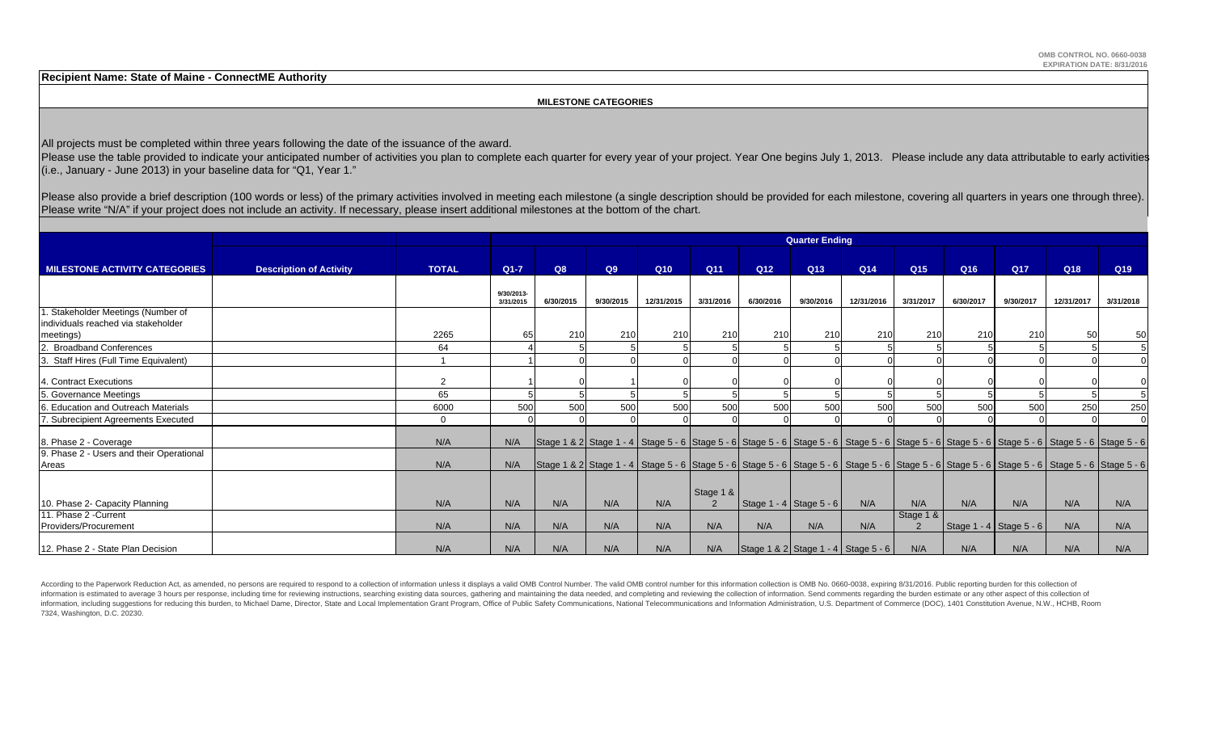**Recipient Name: State of Maine - ConnectME Authority**

#### **MILESTONE CATEGORIES**

All projects must be completed within three years following the date of the issuance of the award.

Please use the table provided to indicate your anticipated number of activities you plan to complete each quarter for every year of your project. Year One begins July 1, 2013. Please include any data attributable to early (i.e., January - June 2013) in your baseline data for "Q1, Year 1."

Please also provide a brief description (100 words or less) of the primary activities involved in meeting each milestone (a single description should be provided for each milestone, covering all quarters in years one throu Please write "N/A" if your project does not include an activity. If necessary, please insert additional milestones at the bottom of the chart.

|                                                                           |                                |                | <b>Quarter Ending</b>   |           |           |            |                 |                 |                           |                                       |                 |                 |                                                                                                                                                                             |                 |           |
|---------------------------------------------------------------------------|--------------------------------|----------------|-------------------------|-----------|-----------|------------|-----------------|-----------------|---------------------------|---------------------------------------|-----------------|-----------------|-----------------------------------------------------------------------------------------------------------------------------------------------------------------------------|-----------------|-----------|
| <b>MILESTONE ACTIVITY CATEGORIES</b>                                      | <b>Description of Activity</b> | <b>TOTAL</b>   | $Q1 - 7$                | Q8        | Q9        | Q10        | Q <sub>11</sub> | Q <sub>12</sub> | Q <sub>13</sub>           | Q <sub>14</sub>                       | Q <sub>15</sub> | Q <sub>16</sub> | Q <sub>17</sub>                                                                                                                                                             | Q <sub>18</sub> | Q19       |
|                                                                           |                                |                | 9/30/2013-<br>3/31/2015 | 6/30/2015 | 9/30/2015 | 12/31/2015 | 3/31/2016       | 6/30/2016       | 9/30/2016                 | 12/31/2016                            | 3/31/2017       | 6/30/2017       | 9/30/2017                                                                                                                                                                   | 12/31/2017      | 3/31/2018 |
| 1. Stakeholder Meetings (Number of<br>individuals reached via stakeholder |                                | 2265           | 65                      | 210       | 210       | 210        | 210             | 210             | 210                       | 210                                   | 210             | 210             | 210                                                                                                                                                                         | 50              | 50        |
| meetings)<br>2. Broadband Conferences                                     |                                | 64             |                         |           |           |            |                 |                 |                           |                                       |                 |                 |                                                                                                                                                                             |                 |           |
| 3. Staff Hires (Full Time Equivalent)                                     |                                |                |                         |           |           |            |                 |                 |                           |                                       |                 |                 |                                                                                                                                                                             |                 |           |
| 4. Contract Executions                                                    |                                | $\overline{2}$ |                         |           |           |            |                 |                 |                           |                                       |                 |                 |                                                                                                                                                                             |                 |           |
| 5. Governance Meetings                                                    |                                | 65             |                         |           |           |            |                 |                 |                           |                                       |                 |                 |                                                                                                                                                                             |                 |           |
| 6. Education and Outreach Materials                                       |                                | 6000           | 500                     | 500       | 500       | 500        | 500             | 500             | 500                       | 500                                   | 500             | 500             | 500                                                                                                                                                                         | 250             | 250       |
| 7. Subrecipient Agreements Executed                                       |                                | $\mathbf 0$    |                         |           |           |            |                 |                 |                           |                                       |                 |                 |                                                                                                                                                                             |                 |           |
| 8. Phase 2 - Coverage                                                     |                                | N/A            |                         |           |           |            |                 |                 |                           |                                       |                 |                 | N/A Stage 1 & 2 Stage 1 - 4 Stage 5 - 6 Stage 5 - 6 Stage 5 - 6 Stage 5 - 6 Stage 5 - 6 Stage 5 - 6 Stage 5 - 6 Stage 5 - 6 Stage 5 - 6 Stage 5 - 6 Stage 5 - 6 Stage 5 - 6 |                 |           |
| 9. Phase 2 - Users and their Operational<br>Areas                         |                                | N/A            | N/A                     |           |           |            |                 |                 |                           |                                       |                 |                 | Stage 1 & 2   Stage 1 - 4   Stage 5 - 6   Stage 5 - 6   Stage 5 - 6   Stage 5 - 6   Stage 5 - 6   Stage 5 - 6   Stage 5 - 6   Stage 5 - 6   Stage 5 - 6   Stage 5 - 6       |                 |           |
| 10. Phase 2- Capacity Planning                                            |                                | N/A            | N/A                     | N/A       | N/A       | N/A        | Stage 1 &       |                 | Stage 1 - 4   Stage 5 - 6 | N/A                                   | N/A             | N/A             | N/A                                                                                                                                                                         | N/A             | N/A       |
| 11. Phase 2 - Current                                                     |                                |                |                         |           |           |            |                 |                 |                           |                                       | Stage 1 &       |                 |                                                                                                                                                                             |                 |           |
| Providers/Procurement                                                     |                                | N/A            | N/A                     | N/A       | N/A       | N/A        | N/A             | N/A             | N/A                       | N/A                                   | $\overline{2}$  |                 | $\vert$ Stage 1 - 4 $\vert$ Stage 5 - 6 $\vert$                                                                                                                             | N/A             | N/A       |
| 12. Phase 2 - State Plan Decision                                         |                                | N/A            | N/A                     | N/A       | N/A       | N/A        | N/A             |                 |                           | Stage 1 & 2 Stage 1 - 4   Stage 5 - 6 | N/A             | N/A             | N/A                                                                                                                                                                         | N/A             | N/A       |

According to the Paperwork Reduction Act, as amended, no persons are required to respond to a collection of information unless it displays a valid OMB Control Number. The valid OMB control number for this information colle information is estimated to average 3 hours per response, including time for reviewing instructions, searching existing data sources, gathering and maintaining the data needed, and completing and reviewing the collection o information, including suggestions for reducing this burden, to Michael Dame, Director, State and Local Implementation Grant Program, Office of Public Safety Communications, National Telecommunications and Information Admi 7324, Washington, D.C. 20230.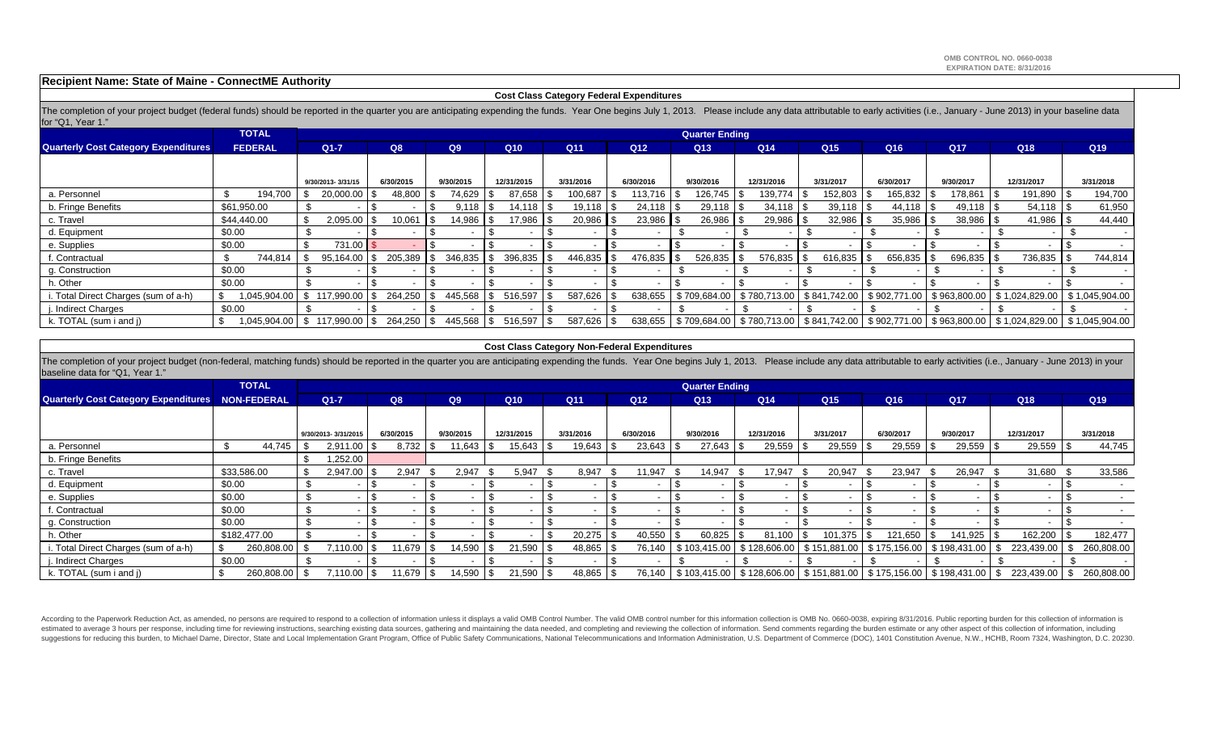### **Recipient Name: State of Maine - ConnectME Authority**

#### **Cost Class Category Federal Expenditures**

The completion of your project budget (federal funds) should be reported in the quarter you are anticipating expending the funds. Year One begins July 1, 2013. Please include any data attributable to early activities (i.e. for "Q1, Year 1."

|                                             | <b>TOTAL</b>         | <b>Quarter Ending</b>        |           |                |                          |                        |                 |                 |                         |                 |                |                 |                                                                                                                   |                 |  |
|---------------------------------------------|----------------------|------------------------------|-----------|----------------|--------------------------|------------------------|-----------------|-----------------|-------------------------|-----------------|----------------|-----------------|-------------------------------------------------------------------------------------------------------------------|-----------------|--|
| <b>Quarterly Cost Category Expenditures</b> | <b>FEDERAL</b>       | $Q1 - 7$                     | Q8        |                | Q10                      | Q <sub>11</sub>        | Q <sub>12</sub> | Q <sub>13</sub> | Q <sub>14</sub>         | Q <sub>15</sub> | Q16            | Q <sub>17</sub> | Q18                                                                                                               | Q <sub>19</sub> |  |
|                                             |                      |                              |           |                |                          |                        |                 |                 |                         |                 |                |                 |                                                                                                                   |                 |  |
|                                             |                      | 9/30/2013-3/31/15            | 6/30/2015 |                | 12/31/2015               | 3/31/2016              | 6/30/2016       | 9/30/2016       | 12/31/2016<br>3/31/2017 |                 | 6/30/2017      | 9/30/2017       | 12/31/2017                                                                                                        | 3/31/2018       |  |
| a. Personnel                                | 194,700              | 20,000.00 \$                 | 48,800    | 74,629         | 87,658                   | 100,687                | 113,716 \$      | 126,745         | 139,774                 | $152,803$ \$    | $165,832$ \ \$ | 178,861         | 191,890<br>- 156                                                                                                  | 194,700         |  |
| b. Fringe Benefits                          | \$61,950.00          |                              |           |                | 14,118 S                 | $19,118$ \\$           |                 | 29,118          | 34,118                  |                 |                | $49,118$ \\$    |                                                                                                                   | 61,950          |  |
| c. Travel                                   | \$44,440.00          | $2,095.00$ \\$<br>-\$        | 10,061    | 14,986   \$    | 17,986   \$              | 20,986                 | 23,986 \$       | 26,986          | 29,986                  | $32,986$ \$     | $35,986$ \ \$  | $38,986$ \$     | 41,986                                                                                                            | 44,440          |  |
| d. Equipment                                | \$0.00               |                              |           |                |                          |                        |                 |                 |                         |                 |                |                 |                                                                                                                   |                 |  |
| e. Supplies                                 | \$0.00               | 731.00 \$                    |           |                |                          |                        |                 |                 |                         |                 |                |                 |                                                                                                                   |                 |  |
| f. Contractual                              | 744,814              | 95,164.00<br>.ზ              | 205,389   | 346,835        | 396,835                  | 446,835                | 476,835 \$      | $526,835$ \$    | 576,835                 |                 | 656,835        | $696,835$ \\$   | 736,835                                                                                                           | 744,814         |  |
| g. Construction                             | \$0.00               |                              |           |                |                          |                        |                 |                 |                         |                 |                |                 |                                                                                                                   |                 |  |
| າ. Other                                    | \$0.00               |                              |           |                |                          |                        |                 |                 |                         |                 |                |                 |                                                                                                                   |                 |  |
| i. Total Direct Charges (sum of a-h)        | - \$<br>1,045,904.00 | 117.990.00<br>- \$           | 264.250   | 445,568        | 516,597                  | 587,626                | 638,655         | \$709,684.00    | \$780,713.00            | \$841,742.00    | \$902,771.00   | \$963,800.00    |                                                                                                                   | \$1,045,904.00  |  |
| i. Indirect Charges                         | \$0.00               |                              |           |                | $\overline{\phantom{a}}$ |                        |                 |                 |                         |                 |                |                 |                                                                                                                   |                 |  |
| k. TOTAL (sum i and j)                      | - \$                 | 1,045,904.00 \$117,990.00 \$ | 264.250   | 445,568<br>ISS | 516,597                  | 587,626 \$<br><u>ь</u> | 638,655         |                 |                         |                 |                |                 | \$ 709,684.00   \$ 780,713.00   \$ 841,742.00   \$ 902,771.00   \$ 963,800.00   \$ 1,024,829.00   \$ 1,045,904.00 |                 |  |

#### **Cost Class Category Non-Federal Expenditures**

The completion of your project budget (non-federal, matching funds) should be reported in the quarter you are anticipating expending the funds. Year One begins July 1, 2013. Please include any data attributable to early ac baseline data for "Q1, Year 1."

|                                                         | <b>TOTAL</b> | <b>Quarter Ending</b> |           |           |            |                 |                 |              |                                    |                         |                                                                                        |                        |                 |            |  |            |
|---------------------------------------------------------|--------------|-----------------------|-----------|-----------|------------|-----------------|-----------------|--------------|------------------------------------|-------------------------|----------------------------------------------------------------------------------------|------------------------|-----------------|------------|--|------------|
| <b>Quarterly Cost Category Expenditures NON-FEDERAL</b> |              | $Q1-7$                | Q8        | Q9        | Q10        | Q <sub>11</sub> | Q <sub>12</sub> |              | Q <sub>14</sub><br>Q <sub>13</sub> |                         | Q <sub>15</sub>                                                                        | Q16                    | Q <sub>17</sub> | Q18        |  | Q19        |
|                                                         |              |                       |           |           |            |                 |                 |              |                                    |                         |                                                                                        |                        |                 |            |  |            |
|                                                         |              | 9/30/2013-3/31/2015   | 6/30/2015 | 9/30/2015 | 12/31/2015 | 3/31/2016       | 6/30/2016       |              | 9/30/2016                          | 12/31/2016<br>3/31/2017 |                                                                                        | 6/30/2017<br>9/30/2017 |                 | 12/31/2017 |  | 3/31/2018  |
| a. Personnel                                            | 44,745       | $2,911.00$ $\mid$     | 8,732     | 11,643    | 15,643     | 19,643          |                 | $23,643$ \\$ | 27,643                             | 29,559                  | 29,559                                                                                 | $29,559$ \$            | $29,559$ \$     | 29,559     |  | 44,745     |
| b. Fringe Benefits                                      |              | .252.00               |           |           |            |                 |                 |              |                                    |                         |                                                                                        |                        |                 |            |  |            |
| c. Travel                                               | \$33,586.00  | 2,947.00<br>\$        | 2,947     | 2,947     | 5.947      | 8,947           |                 | 11,947       | 14,947                             | 17,947                  | 20,947                                                                                 | 23,947                 | 26,947          | 31,680     |  | 33,586     |
| d. Equipment                                            | \$0.00       | - \$                  |           |           |            |                 |                 |              |                                    |                         |                                                                                        |                        |                 |            |  |            |
| e. Supplies                                             | \$0.00       | - \$                  |           |           |            |                 |                 |              |                                    |                         |                                                                                        |                        |                 |            |  |            |
| f. Contractual                                          | \$0.00       | - \$                  |           |           |            |                 |                 |              |                                    |                         |                                                                                        |                        |                 |            |  |            |
| g. Construction                                         | \$0.00       | - \$                  |           |           |            |                 |                 |              |                                    |                         |                                                                                        |                        |                 |            |  |            |
| h. Other                                                | \$182,477.00 |                       |           |           |            | 20,275          |                 | 40,550 \$    | 60,825                             | 81,100                  | 101.375                                                                                | 121,650                | 141,925 \$      | 162,200    |  | 182,477    |
| i. Total Direct Charges (sum of a-h)                    | 260,808.00   | 7.110.00 S            | 11,679    | 14,590    | 21,590     | 48,865 \$       |                 |              | 76,140   \$103,415.00              | \$128,606.00            | $\vert$ \$151,881.00   \$175,156.00   \$198,431.00   \$                                |                        |                 | 223,439.00 |  | 260,808.00 |
| j. Indirect Charges                                     | \$0.00       |                       |           |           |            |                 |                 |              |                                    |                         |                                                                                        |                        |                 |            |  |            |
| k. TOTAL (sum i and j)                                  | 260,808.00   | 7,110.00 \$           | 11,679    | 14,590    | 21,590     | $48,865$ \\$    |                 |              |                                    |                         | 76,140   \$103,415.00   \$128,606.00   \$151,881.00   \$175,156.00   \$198,431.00   \$ |                        |                 | 223,439.00 |  | 260,808.00 |

According to the Paperwork Reduction Act, as amended, no persons are required to respond to a collection of information unless it displays a valid OMB Control Number. The valid OMB control number for this information colle estimated to average 3 hours per response, including time for reviewing instructions, searching existing data sources, gathering and maintaining the data needed, and completing and reviewing the collection of information. suggestions for reducing this burden, to Michael Dame, Director, State and Local Implementation Grant Program, Office of Public Safety Communications, National Telecommunications and Information Administration, U.S. Depart